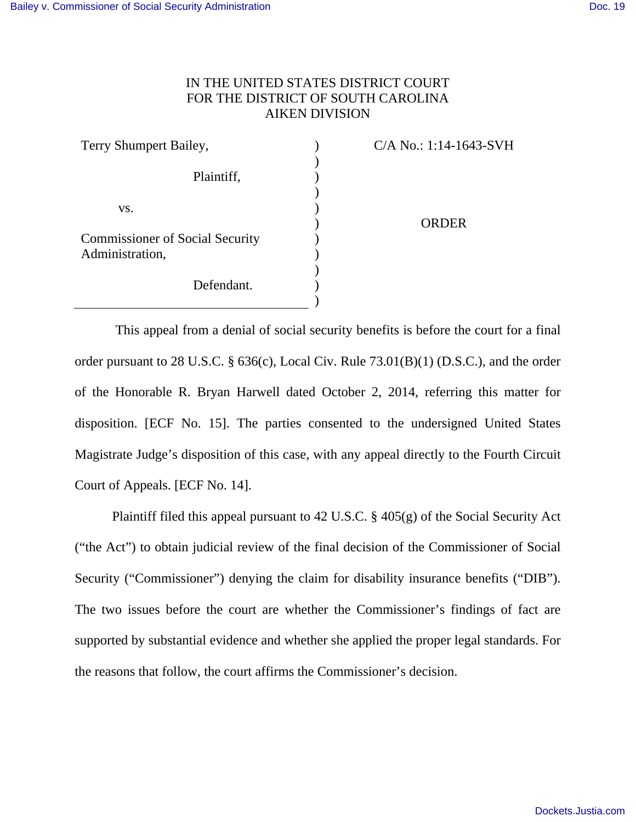# IN THE UNITED STATES DISTRICT COURT FOR THE DISTRICT OF SOUTH CAROLINA AIKEN DIVISION

| Terry Shumpert Bailey,                                                  | C/A No.: 1:14-1643-SVH |
|-------------------------------------------------------------------------|------------------------|
| Plaintiff,                                                              |                        |
| VS.                                                                     |                        |
|                                                                         | <b>ORDER</b>           |
| <b>Commissioner of Social Security</b><br>Administration,<br>Defendant. |                        |
|                                                                         |                        |
|                                                                         |                        |
|                                                                         |                        |
|                                                                         |                        |

 This appeal from a denial of social security benefits is before the court for a final order pursuant to 28 U.S.C. § 636(c), Local Civ. Rule 73.01(B)(1) (D.S.C.), and the order of the Honorable R. Bryan Harwell dated October 2, 2014, referring this matter for disposition. [ECF No. 15]. The parties consented to the undersigned United States Magistrate Judge's disposition of this case, with any appeal directly to the Fourth Circuit Court of Appeals. [ECF No. 14].

 Plaintiff filed this appeal pursuant to 42 U.S.C. § 405(g) of the Social Security Act ("the Act") to obtain judicial review of the final decision of the Commissioner of Social Security ("Commissioner") denying the claim for disability insurance benefits ("DIB"). The two issues before the court are whether the Commissioner's findings of fact are supported by substantial evidence and whether she applied the proper legal standards. For the reasons that follow, the court affirms the Commissioner's decision.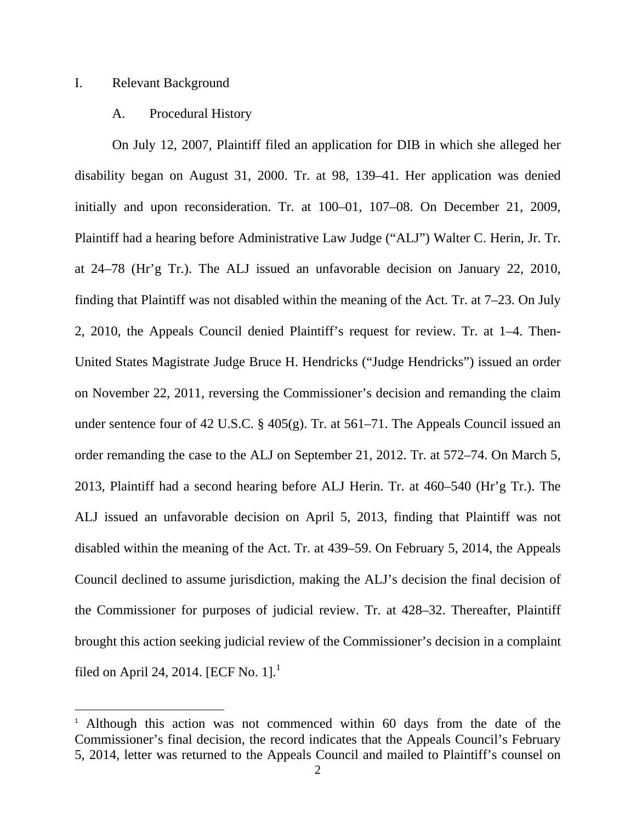# I. Relevant Background

# A. Procedural History

 On July 12, 2007, Plaintiff filed an application for DIB in which she alleged her disability began on August 31, 2000. Tr. at 98, 139–41. Her application was denied initially and upon reconsideration. Tr. at 100–01, 107–08. On December 21, 2009, Plaintiff had a hearing before Administrative Law Judge ("ALJ") Walter C. Herin, Jr. Tr. at 24–78 (Hr'g Tr.). The ALJ issued an unfavorable decision on January 22, 2010, finding that Plaintiff was not disabled within the meaning of the Act. Tr. at 7–23. On July 2, 2010, the Appeals Council denied Plaintiff's request for review. Tr. at 1–4. Then-United States Magistrate Judge Bruce H. Hendricks ("Judge Hendricks") issued an order on November 22, 2011, reversing the Commissioner's decision and remanding the claim under sentence four of 42 U.S.C. § 405(g). Tr. at 561–71. The Appeals Council issued an order remanding the case to the ALJ on September 21, 2012. Tr. at 572–74. On March 5, 2013, Plaintiff had a second hearing before ALJ Herin. Tr. at 460–540 (Hr'g Tr.). The ALJ issued an unfavorable decision on April 5, 2013, finding that Plaintiff was not disabled within the meaning of the Act. Tr. at 439–59. On February 5, 2014, the Appeals Council declined to assume jurisdiction, making the ALJ's decision the final decision of the Commissioner for purposes of judicial review. Tr. at 428–32. Thereafter, Plaintiff brought this action seeking judicial review of the Commissioner's decision in a complaint filed on April 24, 2014. [ECF No. 1].<sup>1</sup>

<sup>&</sup>lt;sup>1</sup> Although this action was not commenced within 60 days from the date of the Commissioner's final decision, the record indicates that the Appeals Council's February 5, 2014, letter was returned to the Appeals Council and mailed to Plaintiff's counsel on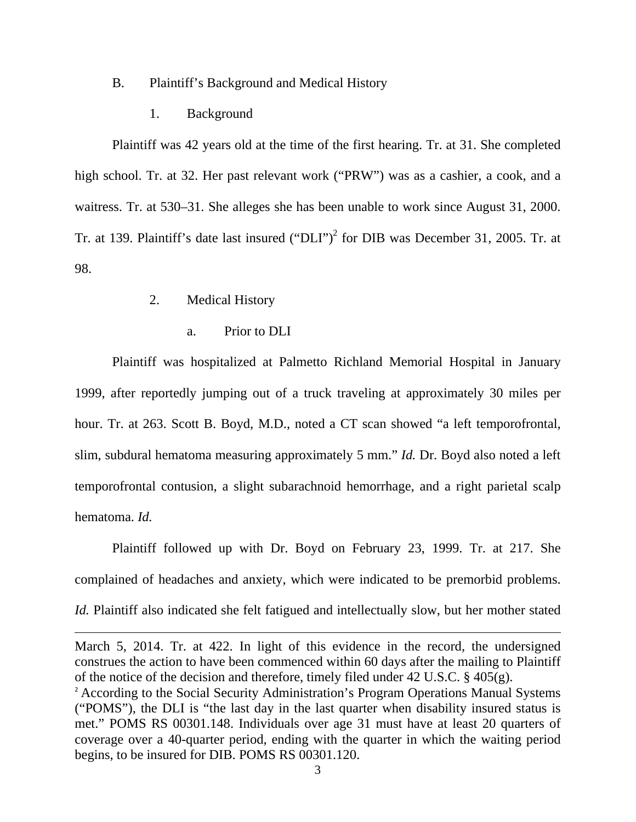# B. Plaintiff's Background and Medical History

1. Background

Plaintiff was 42 years old at the time of the first hearing. Tr. at 31. She completed high school. Tr. at 32. Her past relevant work ("PRW") was as a cashier, a cook, and a waitress. Tr. at 530–31. She alleges she has been unable to work since August 31, 2000. Tr. at 139. Plaintiff's date last insured  $("DLI")^2$  for DIB was December 31, 2005. Tr. at 98.

- 2. Medical History
	- a. Prior to DLI

 Plaintiff was hospitalized at Palmetto Richland Memorial Hospital in January 1999, after reportedly jumping out of a truck traveling at approximately 30 miles per hour. Tr. at 263. Scott B. Boyd, M.D., noted a CT scan showed "a left temporofrontal, slim, subdural hematoma measuring approximately 5 mm." *Id.* Dr. Boyd also noted a left temporofrontal contusion, a slight subarachnoid hemorrhage, and a right parietal scalp hematoma. *Id.*

 Plaintiff followed up with Dr. Boyd on February 23, 1999. Tr. at 217. She complained of headaches and anxiety, which were indicated to be premorbid problems. *Id.* Plaintiff also indicated she felt fatigued and intellectually slow, but her mother stated

March 5, 2014. Tr. at 422. In light of this evidence in the record, the undersigned construes the action to have been commenced within 60 days after the mailing to Plaintiff of the notice of the decision and therefore, timely filed under 42 U.S.C. § 405(g).

<u> 1989 - Johann Stoff, fransk politik (d. 1989)</u>

<sup>&</sup>lt;sup>2</sup> According to the Social Security Administration's Program Operations Manual Systems ("POMS"), the DLI is "the last day in the last quarter when disability insured status is met." POMS RS 00301.148. Individuals over age 31 must have at least 20 quarters of coverage over a 40-quarter period, ending with the quarter in which the waiting period begins, to be insured for DIB. POMS RS 00301.120.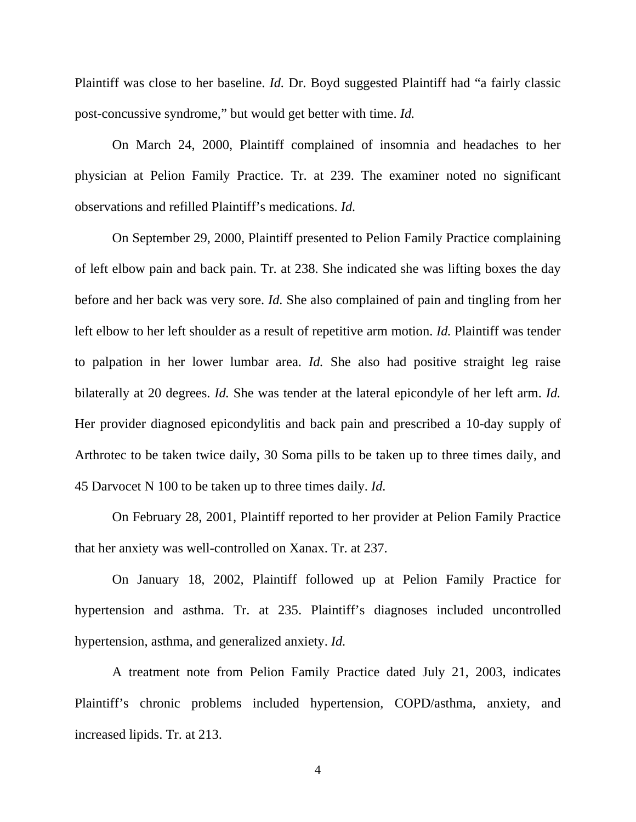Plaintiff was close to her baseline. *Id.* Dr. Boyd suggested Plaintiff had "a fairly classic post-concussive syndrome," but would get better with time. *Id.*

 On March 24, 2000, Plaintiff complained of insomnia and headaches to her physician at Pelion Family Practice. Tr. at 239. The examiner noted no significant observations and refilled Plaintiff's medications. *Id.*

 On September 29, 2000, Plaintiff presented to Pelion Family Practice complaining of left elbow pain and back pain. Tr. at 238. She indicated she was lifting boxes the day before and her back was very sore. *Id.* She also complained of pain and tingling from her left elbow to her left shoulder as a result of repetitive arm motion. *Id.* Plaintiff was tender to palpation in her lower lumbar area. *Id.* She also had positive straight leg raise bilaterally at 20 degrees. *Id.* She was tender at the lateral epicondyle of her left arm. *Id.* Her provider diagnosed epicondylitis and back pain and prescribed a 10-day supply of Arthrotec to be taken twice daily, 30 Soma pills to be taken up to three times daily, and 45 Darvocet N 100 to be taken up to three times daily. *Id.*

 On February 28, 2001, Plaintiff reported to her provider at Pelion Family Practice that her anxiety was well-controlled on Xanax. Tr. at 237.

 On January 18, 2002, Plaintiff followed up at Pelion Family Practice for hypertension and asthma. Tr. at 235. Plaintiff's diagnoses included uncontrolled hypertension, asthma, and generalized anxiety. *Id.*

 A treatment note from Pelion Family Practice dated July 21, 2003, indicates Plaintiff's chronic problems included hypertension, COPD/asthma, anxiety, and increased lipids. Tr. at 213.

4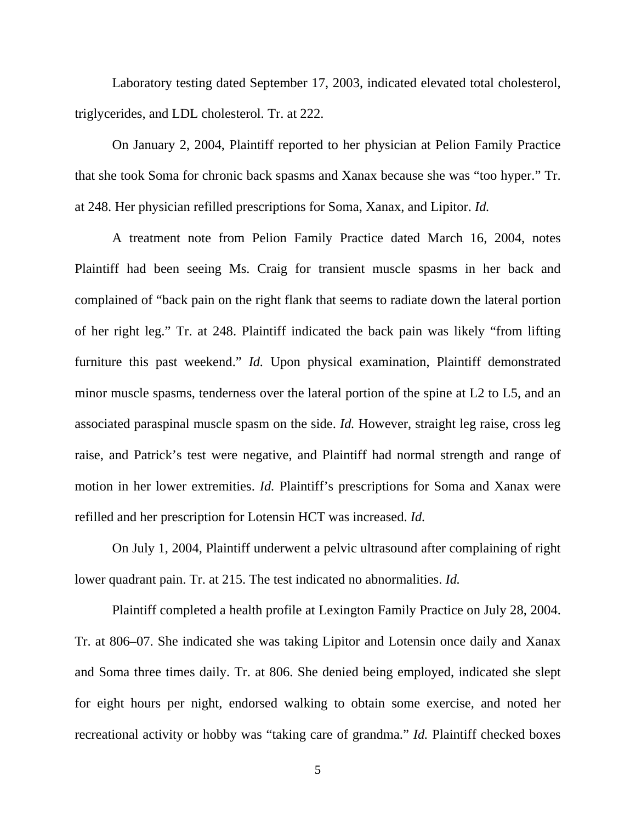Laboratory testing dated September 17, 2003, indicated elevated total cholesterol, triglycerides, and LDL cholesterol. Tr. at 222.

 On January 2, 2004, Plaintiff reported to her physician at Pelion Family Practice that she took Soma for chronic back spasms and Xanax because she was "too hyper." Tr. at 248. Her physician refilled prescriptions for Soma, Xanax, and Lipitor. *Id.* 

 A treatment note from Pelion Family Practice dated March 16, 2004, notes Plaintiff had been seeing Ms. Craig for transient muscle spasms in her back and complained of "back pain on the right flank that seems to radiate down the lateral portion of her right leg." Tr. at 248. Plaintiff indicated the back pain was likely "from lifting furniture this past weekend." *Id.* Upon physical examination, Plaintiff demonstrated minor muscle spasms, tenderness over the lateral portion of the spine at L2 to L5, and an associated paraspinal muscle spasm on the side. *Id.* However, straight leg raise, cross leg raise, and Patrick's test were negative, and Plaintiff had normal strength and range of motion in her lower extremities. *Id.* Plaintiff's prescriptions for Soma and Xanax were refilled and her prescription for Lotensin HCT was increased. *Id.*

 On July 1, 2004, Plaintiff underwent a pelvic ultrasound after complaining of right lower quadrant pain. Tr. at 215. The test indicated no abnormalities. *Id.*

 Plaintiff completed a health profile at Lexington Family Practice on July 28, 2004. Tr. at 806–07. She indicated she was taking Lipitor and Lotensin once daily and Xanax and Soma three times daily. Tr. at 806. She denied being employed, indicated she slept for eight hours per night, endorsed walking to obtain some exercise, and noted her recreational activity or hobby was "taking care of grandma." *Id.* Plaintiff checked boxes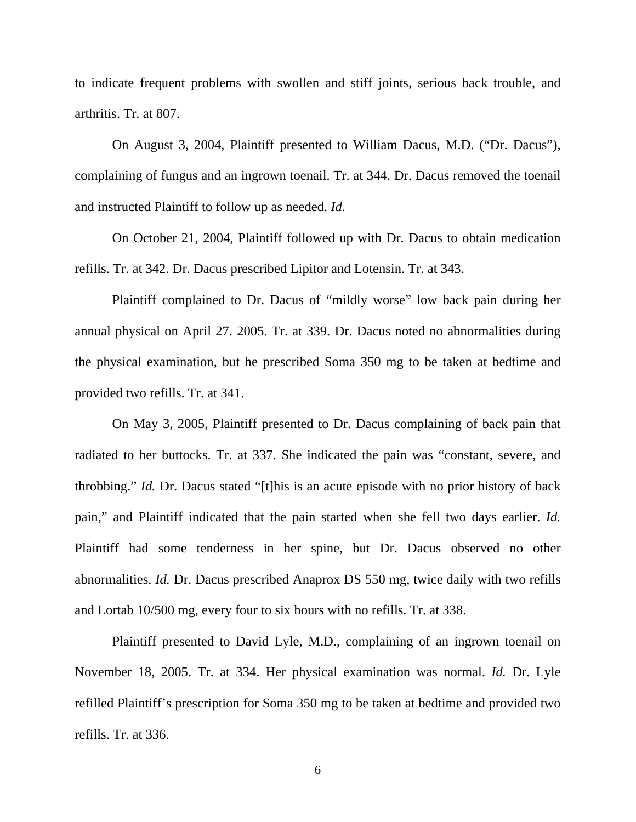to indicate frequent problems with swollen and stiff joints, serious back trouble, and arthritis. Tr. at 807.

 On August 3, 2004, Plaintiff presented to William Dacus, M.D. ("Dr. Dacus"), complaining of fungus and an ingrown toenail. Tr. at 344. Dr. Dacus removed the toenail and instructed Plaintiff to follow up as needed. *Id.*

 On October 21, 2004, Plaintiff followed up with Dr. Dacus to obtain medication refills. Tr. at 342. Dr. Dacus prescribed Lipitor and Lotensin. Tr. at 343.

 Plaintiff complained to Dr. Dacus of "mildly worse" low back pain during her annual physical on April 27. 2005. Tr. at 339. Dr. Dacus noted no abnormalities during the physical examination, but he prescribed Soma 350 mg to be taken at bedtime and provided two refills. Tr. at 341.

 On May 3, 2005, Plaintiff presented to Dr. Dacus complaining of back pain that radiated to her buttocks. Tr. at 337. She indicated the pain was "constant, severe, and throbbing." *Id.* Dr. Dacus stated "[t]his is an acute episode with no prior history of back pain," and Plaintiff indicated that the pain started when she fell two days earlier. *Id.* Plaintiff had some tenderness in her spine, but Dr. Dacus observed no other abnormalities. *Id.* Dr. Dacus prescribed Anaprox DS 550 mg, twice daily with two refills and Lortab 10/500 mg, every four to six hours with no refills. Tr. at 338.

 Plaintiff presented to David Lyle, M.D., complaining of an ingrown toenail on November 18, 2005. Tr. at 334. Her physical examination was normal. *Id.* Dr. Lyle refilled Plaintiff's prescription for Soma 350 mg to be taken at bedtime and provided two refills. Tr. at 336.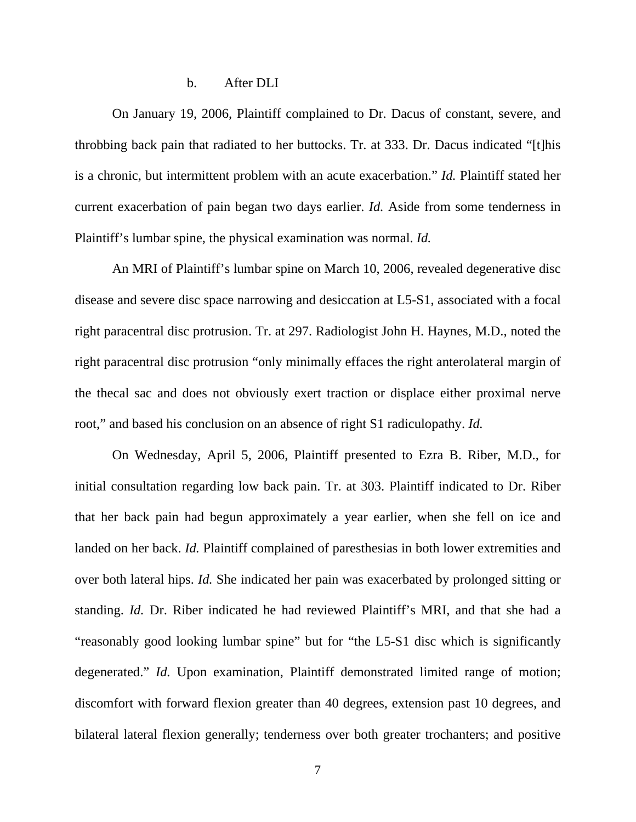## b. After DLI

 On January 19, 2006, Plaintiff complained to Dr. Dacus of constant, severe, and throbbing back pain that radiated to her buttocks. Tr. at 333. Dr. Dacus indicated "[t]his is a chronic, but intermittent problem with an acute exacerbation." *Id.* Plaintiff stated her current exacerbation of pain began two days earlier. *Id.* Aside from some tenderness in Plaintiff's lumbar spine, the physical examination was normal. *Id.*

 An MRI of Plaintiff's lumbar spine on March 10, 2006, revealed degenerative disc disease and severe disc space narrowing and desiccation at L5-S1, associated with a focal right paracentral disc protrusion. Tr. at 297. Radiologist John H. Haynes, M.D., noted the right paracentral disc protrusion "only minimally effaces the right anterolateral margin of the thecal sac and does not obviously exert traction or displace either proximal nerve root," and based his conclusion on an absence of right S1 radiculopathy. *Id.* 

 On Wednesday, April 5, 2006, Plaintiff presented to Ezra B. Riber, M.D., for initial consultation regarding low back pain. Tr. at 303. Plaintiff indicated to Dr. Riber that her back pain had begun approximately a year earlier, when she fell on ice and landed on her back. *Id.* Plaintiff complained of paresthesias in both lower extremities and over both lateral hips. *Id.* She indicated her pain was exacerbated by prolonged sitting or standing. *Id.* Dr. Riber indicated he had reviewed Plaintiff's MRI, and that she had a "reasonably good looking lumbar spine" but for "the L5-S1 disc which is significantly degenerated." *Id.* Upon examination, Plaintiff demonstrated limited range of motion; discomfort with forward flexion greater than 40 degrees, extension past 10 degrees, and bilateral lateral flexion generally; tenderness over both greater trochanters; and positive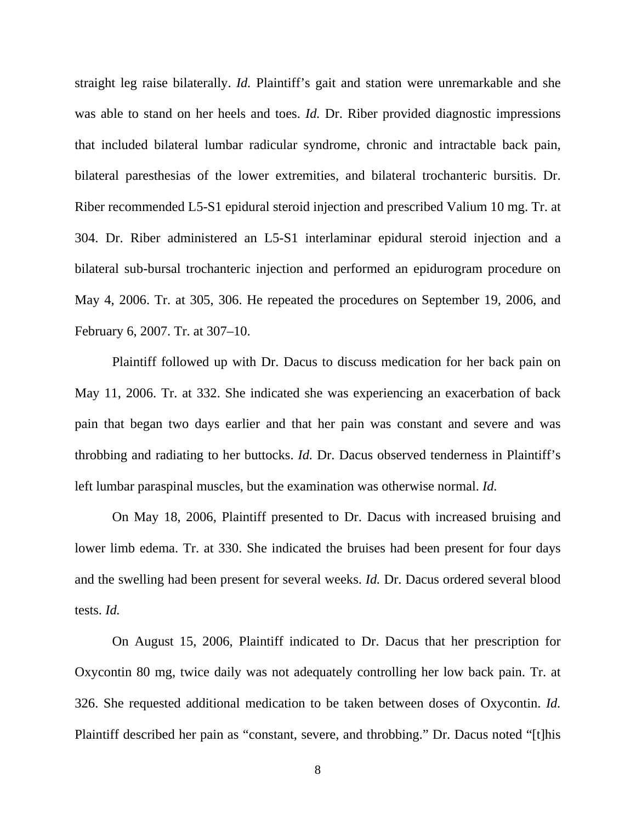straight leg raise bilaterally. *Id.* Plaintiff's gait and station were unremarkable and she was able to stand on her heels and toes. *Id.* Dr. Riber provided diagnostic impressions that included bilateral lumbar radicular syndrome, chronic and intractable back pain, bilateral paresthesias of the lower extremities, and bilateral trochanteric bursitis. Dr. Riber recommended L5-S1 epidural steroid injection and prescribed Valium 10 mg. Tr. at 304. Dr. Riber administered an L5-S1 interlaminar epidural steroid injection and a bilateral sub-bursal trochanteric injection and performed an epidurogram procedure on May 4, 2006. Tr. at 305, 306. He repeated the procedures on September 19, 2006, and February 6, 2007. Tr. at 307–10.

 Plaintiff followed up with Dr. Dacus to discuss medication for her back pain on May 11, 2006. Tr. at 332. She indicated she was experiencing an exacerbation of back pain that began two days earlier and that her pain was constant and severe and was throbbing and radiating to her buttocks. *Id.* Dr. Dacus observed tenderness in Plaintiff's left lumbar paraspinal muscles, but the examination was otherwise normal. *Id.*

 On May 18, 2006, Plaintiff presented to Dr. Dacus with increased bruising and lower limb edema. Tr. at 330. She indicated the bruises had been present for four days and the swelling had been present for several weeks. *Id.* Dr. Dacus ordered several blood tests. *Id.*

 On August 15, 2006, Plaintiff indicated to Dr. Dacus that her prescription for Oxycontin 80 mg, twice daily was not adequately controlling her low back pain. Tr. at 326. She requested additional medication to be taken between doses of Oxycontin. *Id.* Plaintiff described her pain as "constant, severe, and throbbing." Dr. Dacus noted "[t]his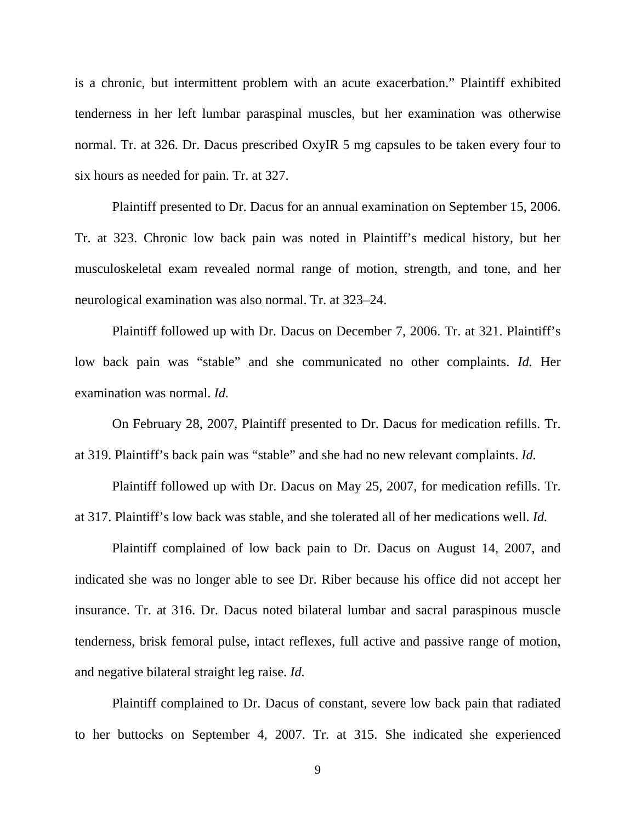is a chronic, but intermittent problem with an acute exacerbation." Plaintiff exhibited tenderness in her left lumbar paraspinal muscles, but her examination was otherwise normal. Tr. at 326. Dr. Dacus prescribed OxyIR 5 mg capsules to be taken every four to six hours as needed for pain. Tr. at 327.

 Plaintiff presented to Dr. Dacus for an annual examination on September 15, 2006. Tr. at 323. Chronic low back pain was noted in Plaintiff's medical history, but her musculoskeletal exam revealed normal range of motion, strength, and tone, and her neurological examination was also normal. Tr. at 323–24.

 Plaintiff followed up with Dr. Dacus on December 7, 2006. Tr. at 321. Plaintiff's low back pain was "stable" and she communicated no other complaints. *Id.* Her examination was normal. *Id.*

 On February 28, 2007, Plaintiff presented to Dr. Dacus for medication refills. Tr. at 319. Plaintiff's back pain was "stable" and she had no new relevant complaints. *Id.*

 Plaintiff followed up with Dr. Dacus on May 25, 2007, for medication refills. Tr. at 317. Plaintiff's low back was stable, and she tolerated all of her medications well. *Id.*

 Plaintiff complained of low back pain to Dr. Dacus on August 14, 2007, and indicated she was no longer able to see Dr. Riber because his office did not accept her insurance. Tr. at 316. Dr. Dacus noted bilateral lumbar and sacral paraspinous muscle tenderness, brisk femoral pulse, intact reflexes, full active and passive range of motion, and negative bilateral straight leg raise. *Id.*

 Plaintiff complained to Dr. Dacus of constant, severe low back pain that radiated to her buttocks on September 4, 2007. Tr. at 315. She indicated she experienced

9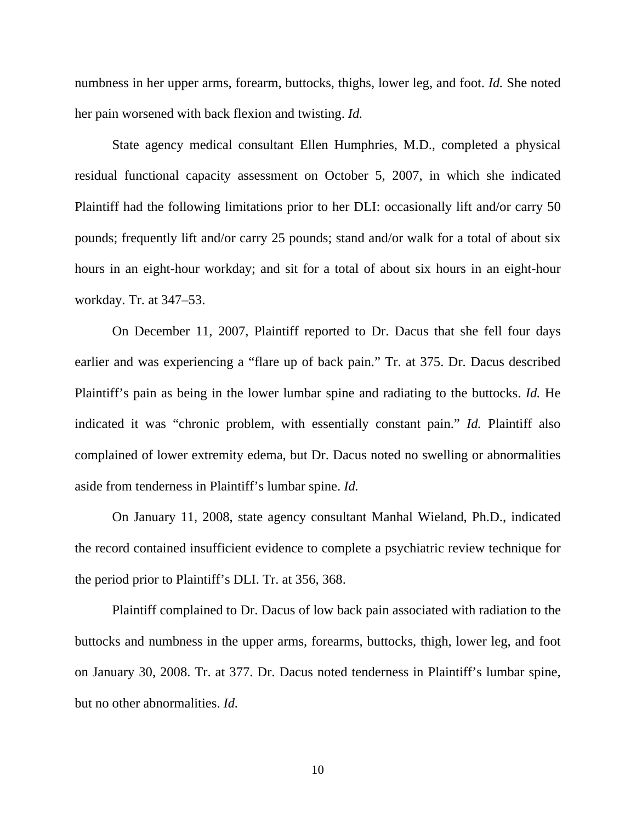numbness in her upper arms, forearm, buttocks, thighs, lower leg, and foot. *Id.* She noted her pain worsened with back flexion and twisting. *Id.*

 State agency medical consultant Ellen Humphries, M.D., completed a physical residual functional capacity assessment on October 5, 2007, in which she indicated Plaintiff had the following limitations prior to her DLI: occasionally lift and/or carry 50 pounds; frequently lift and/or carry 25 pounds; stand and/or walk for a total of about six hours in an eight-hour workday; and sit for a total of about six hours in an eight-hour workday. Tr. at 347–53.

 On December 11, 2007, Plaintiff reported to Dr. Dacus that she fell four days earlier and was experiencing a "flare up of back pain." Tr. at 375. Dr. Dacus described Plaintiff's pain as being in the lower lumbar spine and radiating to the buttocks. *Id.* He indicated it was "chronic problem, with essentially constant pain." *Id.* Plaintiff also complained of lower extremity edema, but Dr. Dacus noted no swelling or abnormalities aside from tenderness in Plaintiff's lumbar spine. *Id.*

 On January 11, 2008, state agency consultant Manhal Wieland, Ph.D., indicated the record contained insufficient evidence to complete a psychiatric review technique for the period prior to Plaintiff's DLI. Tr. at 356, 368.

 Plaintiff complained to Dr. Dacus of low back pain associated with radiation to the buttocks and numbness in the upper arms, forearms, buttocks, thigh, lower leg, and foot on January 30, 2008. Tr. at 377. Dr. Dacus noted tenderness in Plaintiff's lumbar spine, but no other abnormalities. *Id.*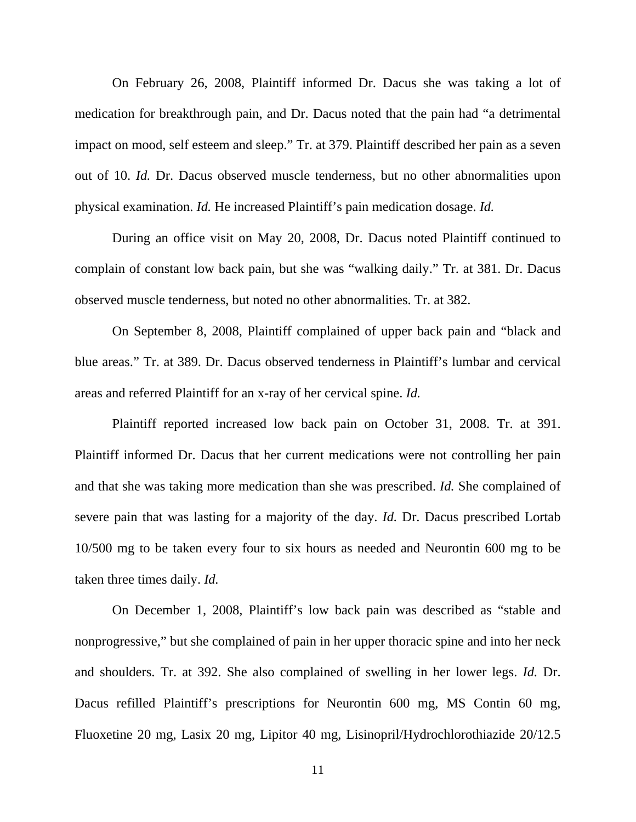On February 26, 2008, Plaintiff informed Dr. Dacus she was taking a lot of medication for breakthrough pain, and Dr. Dacus noted that the pain had "a detrimental impact on mood, self esteem and sleep." Tr. at 379. Plaintiff described her pain as a seven out of 10. *Id.* Dr. Dacus observed muscle tenderness, but no other abnormalities upon physical examination. *Id.* He increased Plaintiff's pain medication dosage. *Id.*

 During an office visit on May 20, 2008, Dr. Dacus noted Plaintiff continued to complain of constant low back pain, but she was "walking daily." Tr. at 381. Dr. Dacus observed muscle tenderness, but noted no other abnormalities. Tr. at 382.

 On September 8, 2008, Plaintiff complained of upper back pain and "black and blue areas." Tr. at 389. Dr. Dacus observed tenderness in Plaintiff's lumbar and cervical areas and referred Plaintiff for an x-ray of her cervical spine. *Id.*

 Plaintiff reported increased low back pain on October 31, 2008. Tr. at 391. Plaintiff informed Dr. Dacus that her current medications were not controlling her pain and that she was taking more medication than she was prescribed. *Id.* She complained of severe pain that was lasting for a majority of the day. *Id.* Dr. Dacus prescribed Lortab 10/500 mg to be taken every four to six hours as needed and Neurontin 600 mg to be taken three times daily. *Id.*

 On December 1, 2008, Plaintiff's low back pain was described as "stable and nonprogressive," but she complained of pain in her upper thoracic spine and into her neck and shoulders. Tr. at 392. She also complained of swelling in her lower legs. *Id.* Dr. Dacus refilled Plaintiff's prescriptions for Neurontin 600 mg, MS Contin 60 mg, Fluoxetine 20 mg, Lasix 20 mg, Lipitor 40 mg, Lisinopril/Hydrochlorothiazide 20/12.5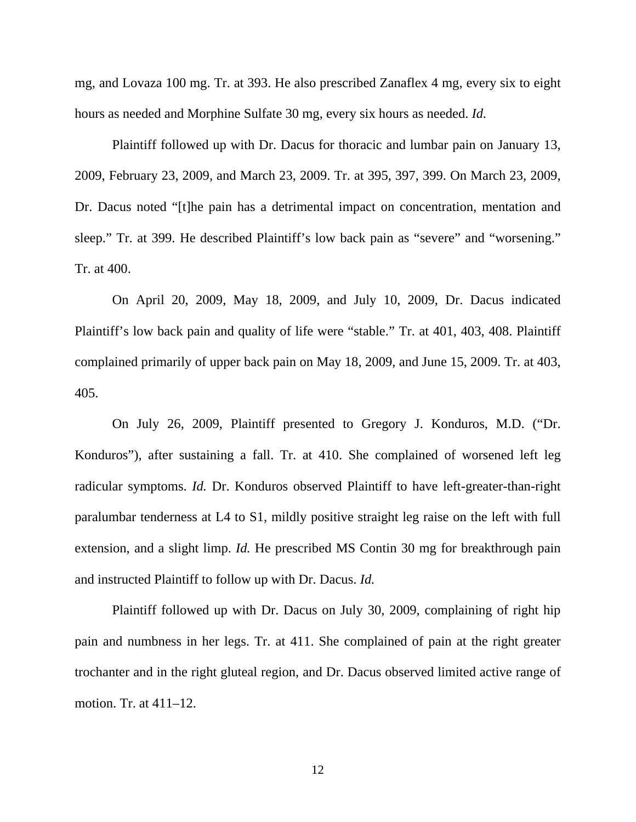mg, and Lovaza 100 mg. Tr. at 393. He also prescribed Zanaflex 4 mg, every six to eight hours as needed and Morphine Sulfate 30 mg, every six hours as needed. *Id.*

 Plaintiff followed up with Dr. Dacus for thoracic and lumbar pain on January 13, 2009, February 23, 2009, and March 23, 2009. Tr. at 395, 397, 399. On March 23, 2009, Dr. Dacus noted "[t]he pain has a detrimental impact on concentration, mentation and sleep." Tr. at 399. He described Plaintiff's low back pain as "severe" and "worsening." Tr. at 400.

 On April 20, 2009, May 18, 2009, and July 10, 2009, Dr. Dacus indicated Plaintiff's low back pain and quality of life were "stable." Tr. at 401, 403, 408. Plaintiff complained primarily of upper back pain on May 18, 2009, and June 15, 2009. Tr. at 403, 405.

 On July 26, 2009, Plaintiff presented to Gregory J. Konduros, M.D. ("Dr. Konduros"), after sustaining a fall. Tr. at 410. She complained of worsened left leg radicular symptoms. *Id.* Dr. Konduros observed Plaintiff to have left-greater-than-right paralumbar tenderness at L4 to S1, mildly positive straight leg raise on the left with full extension, and a slight limp. *Id.* He prescribed MS Contin 30 mg for breakthrough pain and instructed Plaintiff to follow up with Dr. Dacus. *Id.*

 Plaintiff followed up with Dr. Dacus on July 30, 2009, complaining of right hip pain and numbness in her legs. Tr. at 411. She complained of pain at the right greater trochanter and in the right gluteal region, and Dr. Dacus observed limited active range of motion. Tr. at 411–12.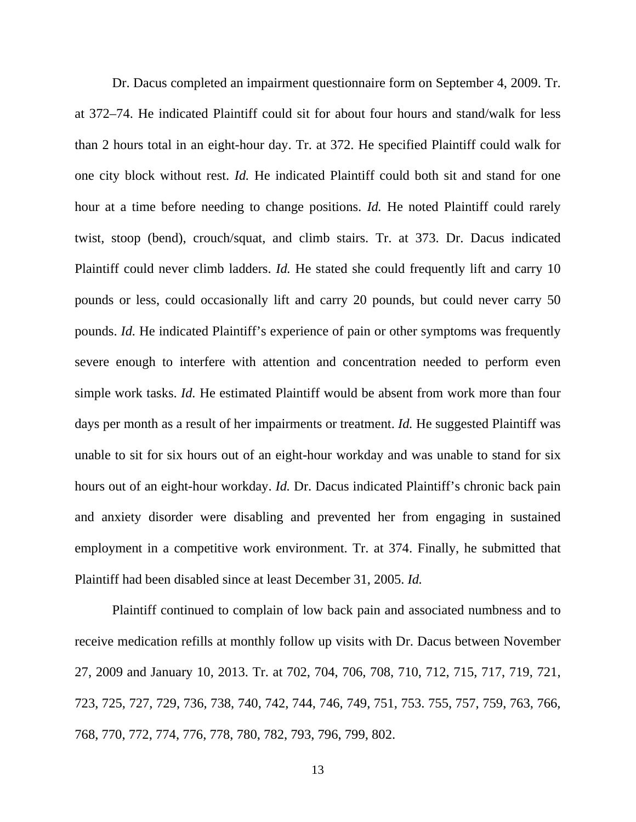Dr. Dacus completed an impairment questionnaire form on September 4, 2009. Tr. at 372–74. He indicated Plaintiff could sit for about four hours and stand/walk for less than 2 hours total in an eight-hour day. Tr. at 372. He specified Plaintiff could walk for one city block without rest. *Id.* He indicated Plaintiff could both sit and stand for one hour at a time before needing to change positions. *Id.* He noted Plaintiff could rarely twist, stoop (bend), crouch/squat, and climb stairs. Tr. at 373. Dr. Dacus indicated Plaintiff could never climb ladders. *Id.* He stated she could frequently lift and carry 10 pounds or less, could occasionally lift and carry 20 pounds, but could never carry 50 pounds. *Id.* He indicated Plaintiff's experience of pain or other symptoms was frequently severe enough to interfere with attention and concentration needed to perform even simple work tasks. *Id.* He estimated Plaintiff would be absent from work more than four days per month as a result of her impairments or treatment. *Id*. He suggested Plaintiff was unable to sit for six hours out of an eight-hour workday and was unable to stand for six hours out of an eight-hour workday. *Id.* Dr. Dacus indicated Plaintiff's chronic back pain and anxiety disorder were disabling and prevented her from engaging in sustained employment in a competitive work environment. Tr. at 374. Finally, he submitted that Plaintiff had been disabled since at least December 31, 2005. *Id.* 

 Plaintiff continued to complain of low back pain and associated numbness and to receive medication refills at monthly follow up visits with Dr. Dacus between November 27, 2009 and January 10, 2013. Tr. at 702, 704, 706, 708, 710, 712, 715, 717, 719, 721, 723, 725, 727, 729, 736, 738, 740, 742, 744, 746, 749, 751, 753. 755, 757, 759, 763, 766, 768, 770, 772, 774, 776, 778, 780, 782, 793, 796, 799, 802.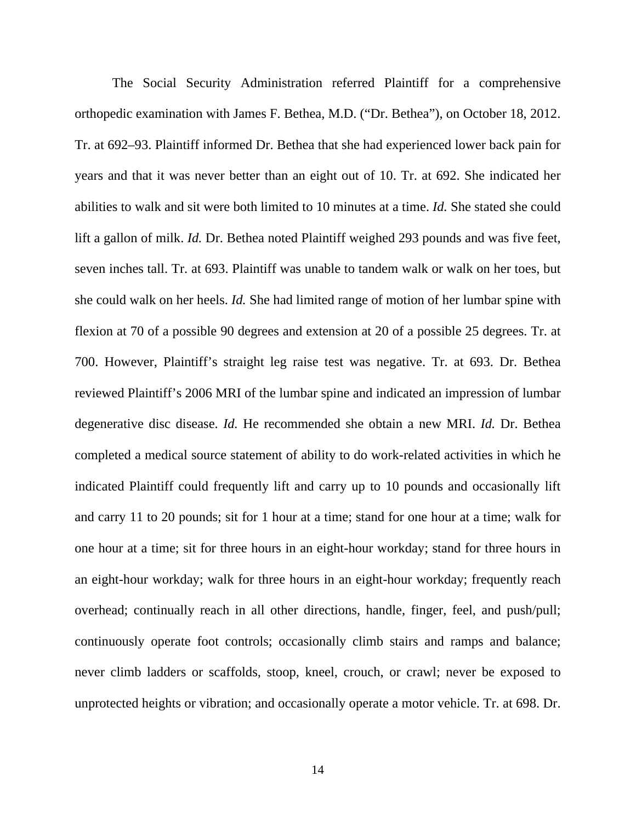The Social Security Administration referred Plaintiff for a comprehensive orthopedic examination with James F. Bethea, M.D. ("Dr. Bethea"), on October 18, 2012. Tr. at 692–93. Plaintiff informed Dr. Bethea that she had experienced lower back pain for years and that it was never better than an eight out of 10. Tr. at 692. She indicated her abilities to walk and sit were both limited to 10 minutes at a time. *Id.* She stated she could lift a gallon of milk. *Id.* Dr. Bethea noted Plaintiff weighed 293 pounds and was five feet, seven inches tall. Tr. at 693. Plaintiff was unable to tandem walk or walk on her toes, but she could walk on her heels. *Id.* She had limited range of motion of her lumbar spine with flexion at 70 of a possible 90 degrees and extension at 20 of a possible 25 degrees. Tr. at 700. However, Plaintiff's straight leg raise test was negative. Tr. at 693. Dr. Bethea reviewed Plaintiff's 2006 MRI of the lumbar spine and indicated an impression of lumbar degenerative disc disease. *Id.* He recommended she obtain a new MRI. *Id.* Dr. Bethea completed a medical source statement of ability to do work-related activities in which he indicated Plaintiff could frequently lift and carry up to 10 pounds and occasionally lift and carry 11 to 20 pounds; sit for 1 hour at a time; stand for one hour at a time; walk for one hour at a time; sit for three hours in an eight-hour workday; stand for three hours in an eight-hour workday; walk for three hours in an eight-hour workday; frequently reach overhead; continually reach in all other directions, handle, finger, feel, and push/pull; continuously operate foot controls; occasionally climb stairs and ramps and balance; never climb ladders or scaffolds, stoop, kneel, crouch, or crawl; never be exposed to unprotected heights or vibration; and occasionally operate a motor vehicle. Tr. at 698. Dr.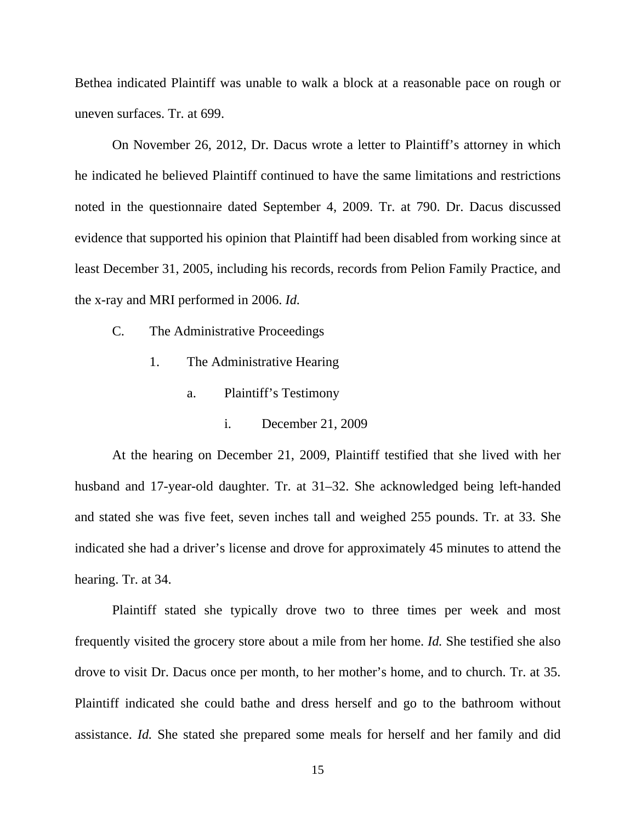Bethea indicated Plaintiff was unable to walk a block at a reasonable pace on rough or uneven surfaces. Tr. at 699.

 On November 26, 2012, Dr. Dacus wrote a letter to Plaintiff's attorney in which he indicated he believed Plaintiff continued to have the same limitations and restrictions noted in the questionnaire dated September 4, 2009. Tr. at 790. Dr. Dacus discussed evidence that supported his opinion that Plaintiff had been disabled from working since at least December 31, 2005, including his records, records from Pelion Family Practice, and the x-ray and MRI performed in 2006. *Id.*

- C. The Administrative Proceedings
	- 1. The Administrative Hearing
		- a. Plaintiff's Testimony
			- i. December 21, 2009

 At the hearing on December 21, 2009, Plaintiff testified that she lived with her husband and 17-year-old daughter. Tr. at 31–32. She acknowledged being left-handed and stated she was five feet, seven inches tall and weighed 255 pounds. Tr. at 33. She indicated she had a driver's license and drove for approximately 45 minutes to attend the hearing. Tr. at 34.

 Plaintiff stated she typically drove two to three times per week and most frequently visited the grocery store about a mile from her home. *Id.* She testified she also drove to visit Dr. Dacus once per month, to her mother's home, and to church. Tr. at 35. Plaintiff indicated she could bathe and dress herself and go to the bathroom without assistance. *Id.* She stated she prepared some meals for herself and her family and did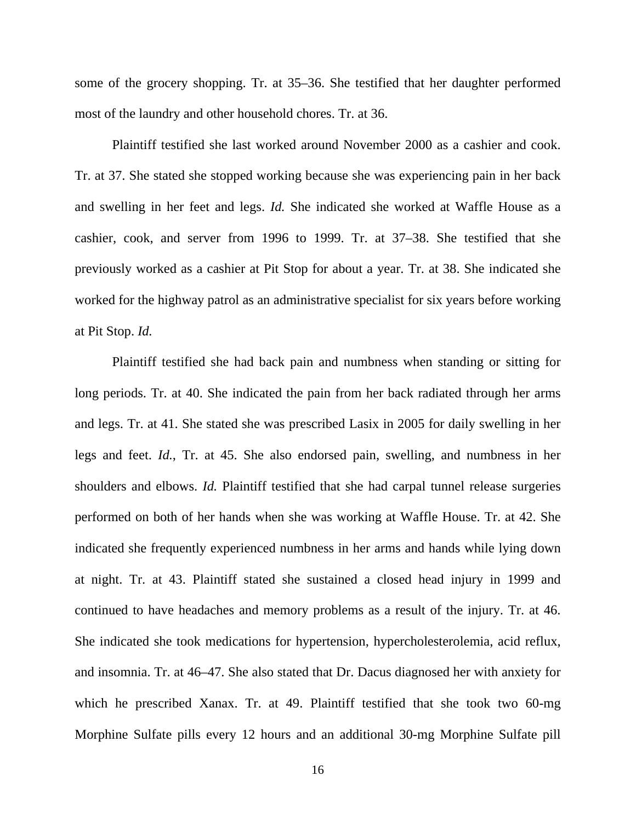some of the grocery shopping. Tr. at 35–36. She testified that her daughter performed most of the laundry and other household chores. Tr. at 36.

 Plaintiff testified she last worked around November 2000 as a cashier and cook. Tr. at 37. She stated she stopped working because she was experiencing pain in her back and swelling in her feet and legs. *Id.* She indicated she worked at Waffle House as a cashier, cook, and server from 1996 to 1999. Tr. at 37–38. She testified that she previously worked as a cashier at Pit Stop for about a year. Tr. at 38. She indicated she worked for the highway patrol as an administrative specialist for six years before working at Pit Stop. *Id.*

 Plaintiff testified she had back pain and numbness when standing or sitting for long periods. Tr. at 40. She indicated the pain from her back radiated through her arms and legs. Tr. at 41. She stated she was prescribed Lasix in 2005 for daily swelling in her legs and feet. *Id.*, Tr. at 45. She also endorsed pain, swelling, and numbness in her shoulders and elbows. *Id.* Plaintiff testified that she had carpal tunnel release surgeries performed on both of her hands when she was working at Waffle House. Tr. at 42. She indicated she frequently experienced numbness in her arms and hands while lying down at night. Tr. at 43. Plaintiff stated she sustained a closed head injury in 1999 and continued to have headaches and memory problems as a result of the injury. Tr. at 46. She indicated she took medications for hypertension, hypercholesterolemia, acid reflux, and insomnia. Tr. at 46–47. She also stated that Dr. Dacus diagnosed her with anxiety for which he prescribed Xanax. Tr. at 49. Plaintiff testified that she took two 60-mg Morphine Sulfate pills every 12 hours and an additional 30-mg Morphine Sulfate pill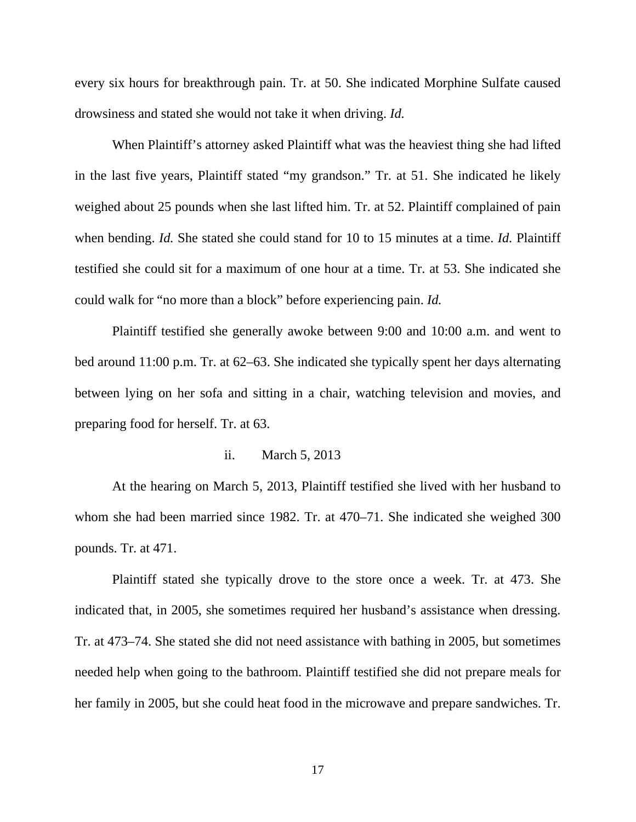every six hours for breakthrough pain. Tr. at 50. She indicated Morphine Sulfate caused drowsiness and stated she would not take it when driving. *Id.*

 When Plaintiff's attorney asked Plaintiff what was the heaviest thing she had lifted in the last five years, Plaintiff stated "my grandson." Tr. at 51. She indicated he likely weighed about 25 pounds when she last lifted him. Tr. at 52. Plaintiff complained of pain when bending. *Id.* She stated she could stand for 10 to 15 minutes at a time. *Id.* Plaintiff testified she could sit for a maximum of one hour at a time. Tr. at 53. She indicated she could walk for "no more than a block" before experiencing pain. *Id.*

 Plaintiff testified she generally awoke between 9:00 and 10:00 a.m. and went to bed around 11:00 p.m. Tr. at 62–63. She indicated she typically spent her days alternating between lying on her sofa and sitting in a chair, watching television and movies, and preparing food for herself. Tr. at 63.

## ii. March 5, 2013

At the hearing on March 5, 2013, Plaintiff testified she lived with her husband to whom she had been married since 1982. Tr. at 470–71. She indicated she weighed 300 pounds. Tr. at 471.

 Plaintiff stated she typically drove to the store once a week. Tr. at 473. She indicated that, in 2005, she sometimes required her husband's assistance when dressing. Tr. at 473–74. She stated she did not need assistance with bathing in 2005, but sometimes needed help when going to the bathroom. Plaintiff testified she did not prepare meals for her family in 2005, but she could heat food in the microwave and prepare sandwiches. Tr.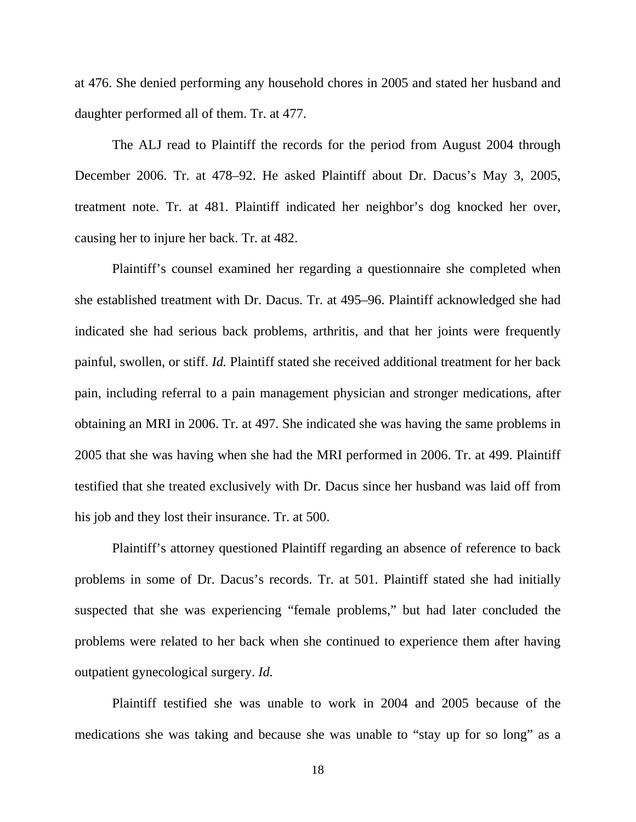at 476. She denied performing any household chores in 2005 and stated her husband and daughter performed all of them. Tr. at 477.

 The ALJ read to Plaintiff the records for the period from August 2004 through December 2006. Tr. at 478–92. He asked Plaintiff about Dr. Dacus's May 3, 2005, treatment note. Tr. at 481. Plaintiff indicated her neighbor's dog knocked her over, causing her to injure her back. Tr. at 482.

 Plaintiff's counsel examined her regarding a questionnaire she completed when she established treatment with Dr. Dacus. Tr. at 495–96. Plaintiff acknowledged she had indicated she had serious back problems, arthritis, and that her joints were frequently painful, swollen, or stiff. *Id.* Plaintiff stated she received additional treatment for her back pain, including referral to a pain management physician and stronger medications, after obtaining an MRI in 2006. Tr. at 497. She indicated she was having the same problems in 2005 that she was having when she had the MRI performed in 2006. Tr. at 499. Plaintiff testified that she treated exclusively with Dr. Dacus since her husband was laid off from his job and they lost their insurance. Tr. at 500.

 Plaintiff's attorney questioned Plaintiff regarding an absence of reference to back problems in some of Dr. Dacus's records. Tr. at 501. Plaintiff stated she had initially suspected that she was experiencing "female problems," but had later concluded the problems were related to her back when she continued to experience them after having outpatient gynecological surgery. *Id.* 

Plaintiff testified she was unable to work in 2004 and 2005 because of the medications she was taking and because she was unable to "stay up for so long" as a

18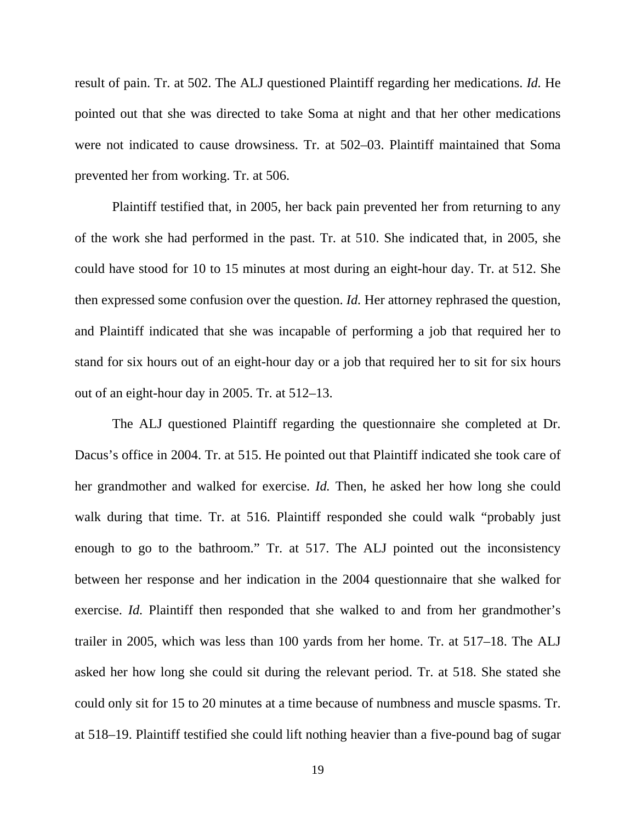result of pain. Tr. at 502. The ALJ questioned Plaintiff regarding her medications. *Id.* He pointed out that she was directed to take Soma at night and that her other medications were not indicated to cause drowsiness. Tr. at 502–03. Plaintiff maintained that Soma prevented her from working. Tr. at 506.

 Plaintiff testified that, in 2005, her back pain prevented her from returning to any of the work she had performed in the past. Tr. at 510. She indicated that, in 2005, she could have stood for 10 to 15 minutes at most during an eight-hour day. Tr. at 512. She then expressed some confusion over the question. *Id.* Her attorney rephrased the question, and Plaintiff indicated that she was incapable of performing a job that required her to stand for six hours out of an eight-hour day or a job that required her to sit for six hours out of an eight-hour day in 2005. Tr. at 512–13.

 The ALJ questioned Plaintiff regarding the questionnaire she completed at Dr. Dacus's office in 2004. Tr. at 515. He pointed out that Plaintiff indicated she took care of her grandmother and walked for exercise. *Id.* Then, he asked her how long she could walk during that time. Tr. at 516. Plaintiff responded she could walk "probably just enough to go to the bathroom." Tr. at 517. The ALJ pointed out the inconsistency between her response and her indication in the 2004 questionnaire that she walked for exercise. *Id.* Plaintiff then responded that she walked to and from her grandmother's trailer in 2005, which was less than 100 yards from her home. Tr. at 517–18. The ALJ asked her how long she could sit during the relevant period. Tr. at 518. She stated she could only sit for 15 to 20 minutes at a time because of numbness and muscle spasms. Tr. at 518–19. Plaintiff testified she could lift nothing heavier than a five-pound bag of sugar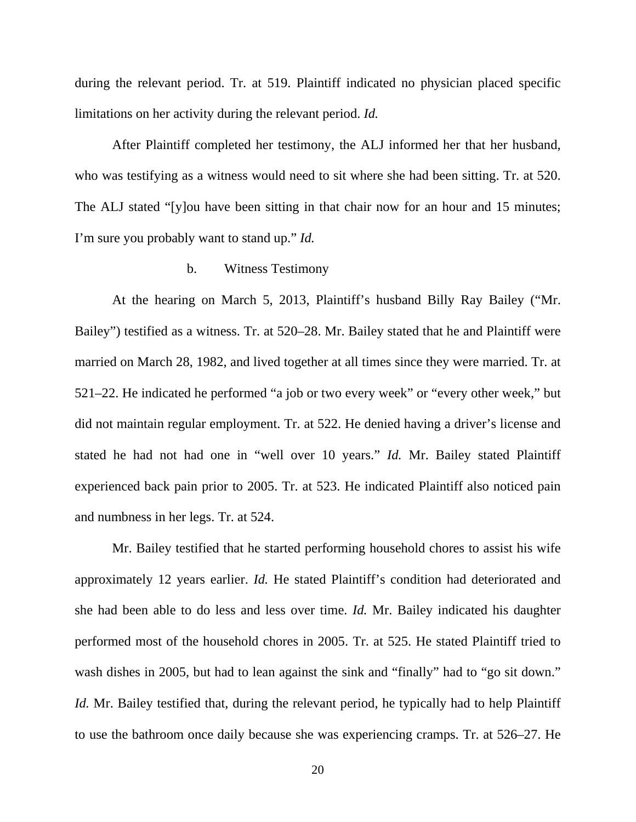during the relevant period. Tr. at 519. Plaintiff indicated no physician placed specific limitations on her activity during the relevant period. *Id.* 

After Plaintiff completed her testimony, the ALJ informed her that her husband, who was testifying as a witness would need to sit where she had been sitting. Tr. at 520. The ALJ stated "[y]ou have been sitting in that chair now for an hour and 15 minutes; I'm sure you probably want to stand up." *Id.* 

# b. Witness Testimony

 At the hearing on March 5, 2013, Plaintiff's husband Billy Ray Bailey ("Mr. Bailey") testified as a witness. Tr. at 520–28. Mr. Bailey stated that he and Plaintiff were married on March 28, 1982, and lived together at all times since they were married. Tr. at 521–22. He indicated he performed "a job or two every week" or "every other week," but did not maintain regular employment. Tr. at 522. He denied having a driver's license and stated he had not had one in "well over 10 years." *Id.* Mr. Bailey stated Plaintiff experienced back pain prior to 2005. Tr. at 523. He indicated Plaintiff also noticed pain and numbness in her legs. Tr. at 524.

 Mr. Bailey testified that he started performing household chores to assist his wife approximately 12 years earlier. *Id.* He stated Plaintiff's condition had deteriorated and she had been able to do less and less over time. *Id.* Mr. Bailey indicated his daughter performed most of the household chores in 2005. Tr. at 525. He stated Plaintiff tried to wash dishes in 2005, but had to lean against the sink and "finally" had to "go sit down." *Id.* Mr. Bailey testified that, during the relevant period, he typically had to help Plaintiff to use the bathroom once daily because she was experiencing cramps. Tr. at 526–27. He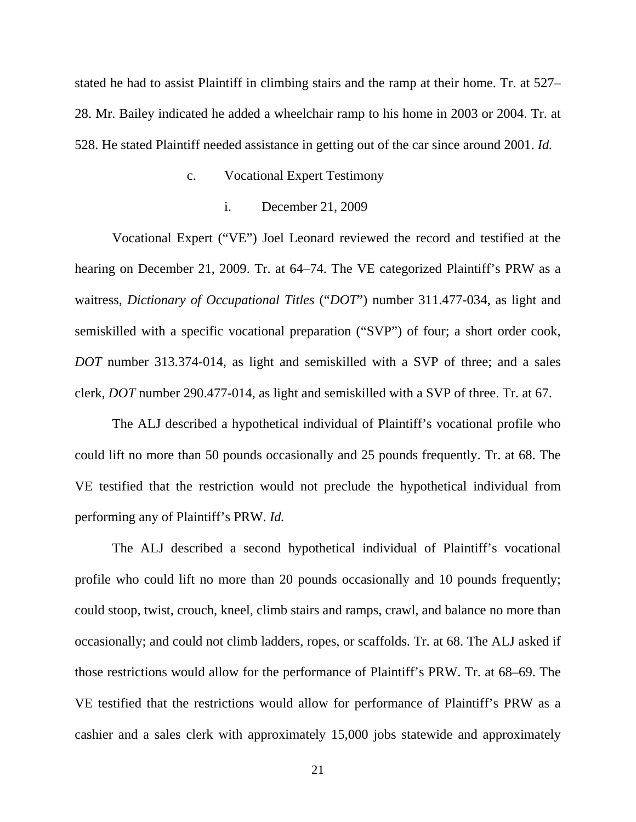stated he had to assist Plaintiff in climbing stairs and the ramp at their home. Tr. at 527– 28. Mr. Bailey indicated he added a wheelchair ramp to his home in 2003 or 2004. Tr. at 528. He stated Plaintiff needed assistance in getting out of the car since around 2001. *Id.*

#### c. Vocational Expert Testimony

### i. December 21, 2009

 Vocational Expert ("VE") Joel Leonard reviewed the record and testified at the hearing on December 21, 2009. Tr. at 64–74. The VE categorized Plaintiff's PRW as a waitress, *Dictionary of Occupational Titles* ("*DOT*") number 311.477-034, as light and semiskilled with a specific vocational preparation ("SVP") of four; a short order cook, *DOT* number 313.374-014, as light and semiskilled with a SVP of three; and a sales clerk, *DOT* number 290.477-014, as light and semiskilled with a SVP of three. Tr. at 67.

 The ALJ described a hypothetical individual of Plaintiff's vocational profile who could lift no more than 50 pounds occasionally and 25 pounds frequently. Tr. at 68. The VE testified that the restriction would not preclude the hypothetical individual from performing any of Plaintiff's PRW. *Id.*

 The ALJ described a second hypothetical individual of Plaintiff's vocational profile who could lift no more than 20 pounds occasionally and 10 pounds frequently; could stoop, twist, crouch, kneel, climb stairs and ramps, crawl, and balance no more than occasionally; and could not climb ladders, ropes, or scaffolds. Tr. at 68. The ALJ asked if those restrictions would allow for the performance of Plaintiff's PRW. Tr. at 68–69. The VE testified that the restrictions would allow for performance of Plaintiff's PRW as a cashier and a sales clerk with approximately 15,000 jobs statewide and approximately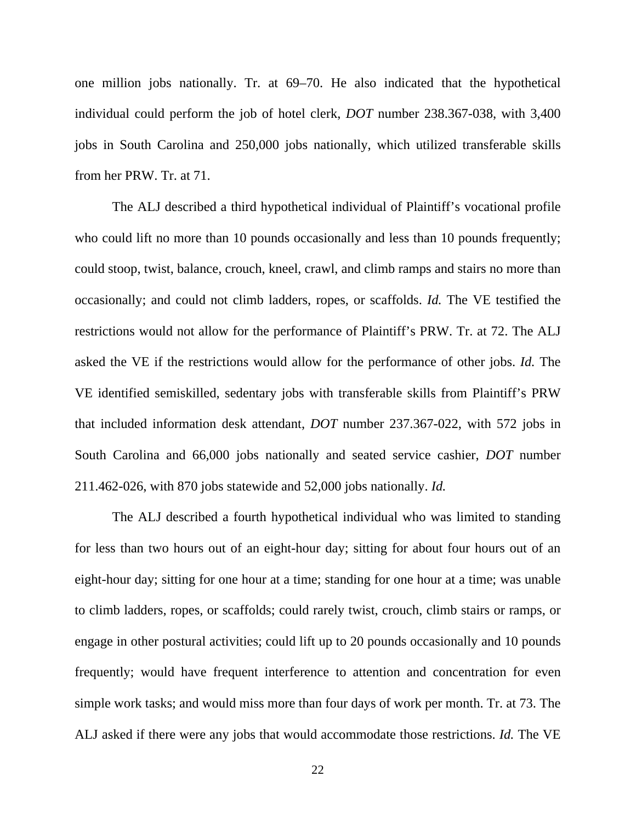one million jobs nationally. Tr. at 69–70. He also indicated that the hypothetical individual could perform the job of hotel clerk, *DOT* number 238.367-038, with 3,400 jobs in South Carolina and 250,000 jobs nationally, which utilized transferable skills from her PRW. Tr. at 71.

 The ALJ described a third hypothetical individual of Plaintiff's vocational profile who could lift no more than 10 pounds occasionally and less than 10 pounds frequently; could stoop, twist, balance, crouch, kneel, crawl, and climb ramps and stairs no more than occasionally; and could not climb ladders, ropes, or scaffolds. *Id.* The VE testified the restrictions would not allow for the performance of Plaintiff's PRW. Tr. at 72. The ALJ asked the VE if the restrictions would allow for the performance of other jobs. *Id.* The VE identified semiskilled, sedentary jobs with transferable skills from Plaintiff's PRW that included information desk attendant, *DOT* number 237.367-022, with 572 jobs in South Carolina and 66,000 jobs nationally and seated service cashier, *DOT* number 211.462-026, with 870 jobs statewide and 52,000 jobs nationally. *Id.*

 The ALJ described a fourth hypothetical individual who was limited to standing for less than two hours out of an eight-hour day; sitting for about four hours out of an eight-hour day; sitting for one hour at a time; standing for one hour at a time; was unable to climb ladders, ropes, or scaffolds; could rarely twist, crouch, climb stairs or ramps, or engage in other postural activities; could lift up to 20 pounds occasionally and 10 pounds frequently; would have frequent interference to attention and concentration for even simple work tasks; and would miss more than four days of work per month. Tr. at 73. The ALJ asked if there were any jobs that would accommodate those restrictions. *Id.* The VE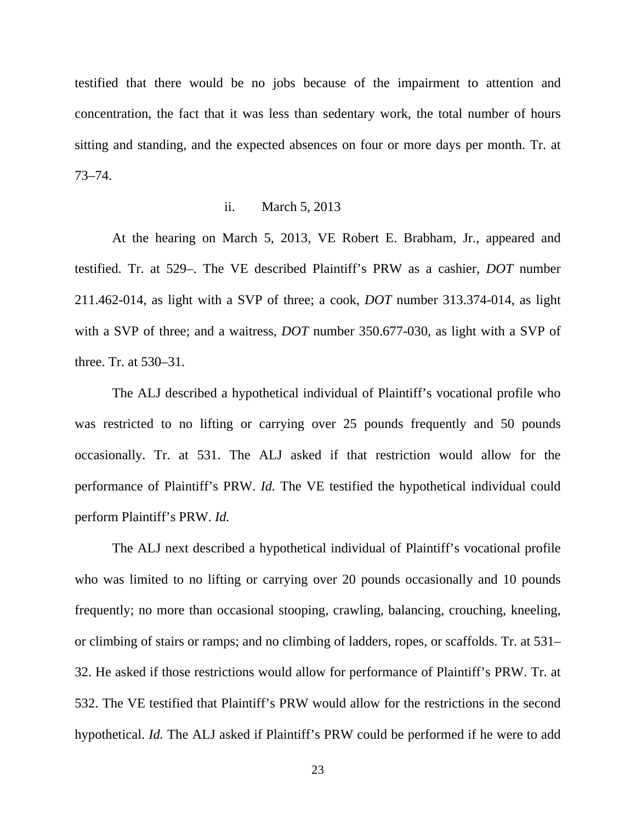testified that there would be no jobs because of the impairment to attention and concentration, the fact that it was less than sedentary work, the total number of hours sitting and standing, and the expected absences on four or more days per month. Tr. at 73–74.

## ii. March 5, 2013

 At the hearing on March 5, 2013, VE Robert E. Brabham, Jr., appeared and testified. Tr. at 529–. The VE described Plaintiff's PRW as a cashier, *DOT* number 211.462-014, as light with a SVP of three; a cook, *DOT* number 313.374-014, as light with a SVP of three; and a waitress, *DOT* number 350.677-030, as light with a SVP of three. Tr. at 530–31.

 The ALJ described a hypothetical individual of Plaintiff's vocational profile who was restricted to no lifting or carrying over 25 pounds frequently and 50 pounds occasionally. Tr. at 531. The ALJ asked if that restriction would allow for the performance of Plaintiff's PRW. *Id.* The VE testified the hypothetical individual could perform Plaintiff's PRW. *Id.*

 The ALJ next described a hypothetical individual of Plaintiff's vocational profile who was limited to no lifting or carrying over 20 pounds occasionally and 10 pounds frequently; no more than occasional stooping, crawling, balancing, crouching, kneeling, or climbing of stairs or ramps; and no climbing of ladders, ropes, or scaffolds. Tr. at 531– 32. He asked if those restrictions would allow for performance of Plaintiff's PRW. Tr. at 532. The VE testified that Plaintiff's PRW would allow for the restrictions in the second hypothetical. *Id.* The ALJ asked if Plaintiff's PRW could be performed if he were to add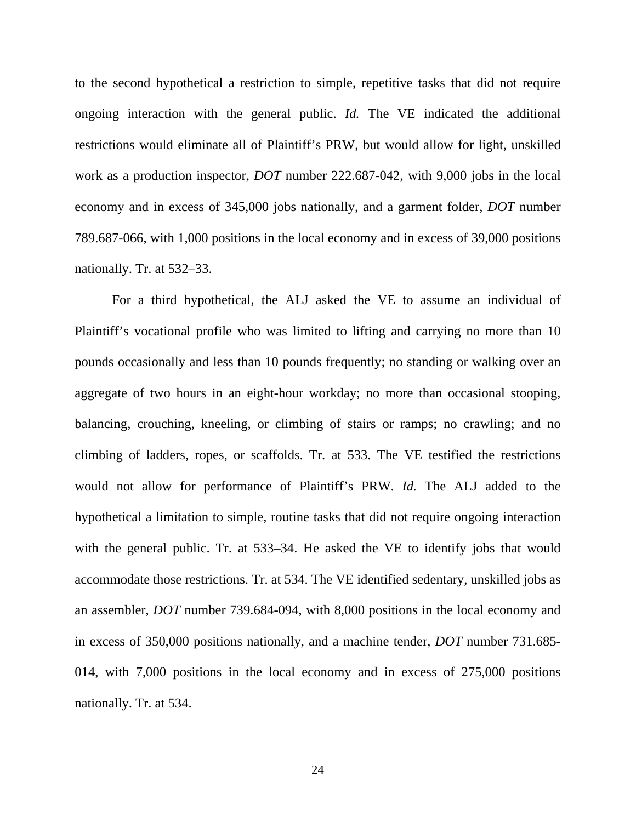to the second hypothetical a restriction to simple, repetitive tasks that did not require ongoing interaction with the general public. *Id.* The VE indicated the additional restrictions would eliminate all of Plaintiff's PRW, but would allow for light, unskilled work as a production inspector, *DOT* number 222.687-042, with 9,000 jobs in the local economy and in excess of 345,000 jobs nationally, and a garment folder, *DOT* number 789.687-066, with 1,000 positions in the local economy and in excess of 39,000 positions nationally. Tr. at 532–33.

 For a third hypothetical, the ALJ asked the VE to assume an individual of Plaintiff's vocational profile who was limited to lifting and carrying no more than 10 pounds occasionally and less than 10 pounds frequently; no standing or walking over an aggregate of two hours in an eight-hour workday; no more than occasional stooping, balancing, crouching, kneeling, or climbing of stairs or ramps; no crawling; and no climbing of ladders, ropes, or scaffolds. Tr. at 533. The VE testified the restrictions would not allow for performance of Plaintiff's PRW. *Id.* The ALJ added to the hypothetical a limitation to simple, routine tasks that did not require ongoing interaction with the general public. Tr. at 533–34. He asked the VE to identify jobs that would accommodate those restrictions. Tr. at 534. The VE identified sedentary, unskilled jobs as an assembler, *DOT* number 739.684-094, with 8,000 positions in the local economy and in excess of 350,000 positions nationally, and a machine tender, *DOT* number 731.685- 014, with 7,000 positions in the local economy and in excess of 275,000 positions nationally. Tr. at 534.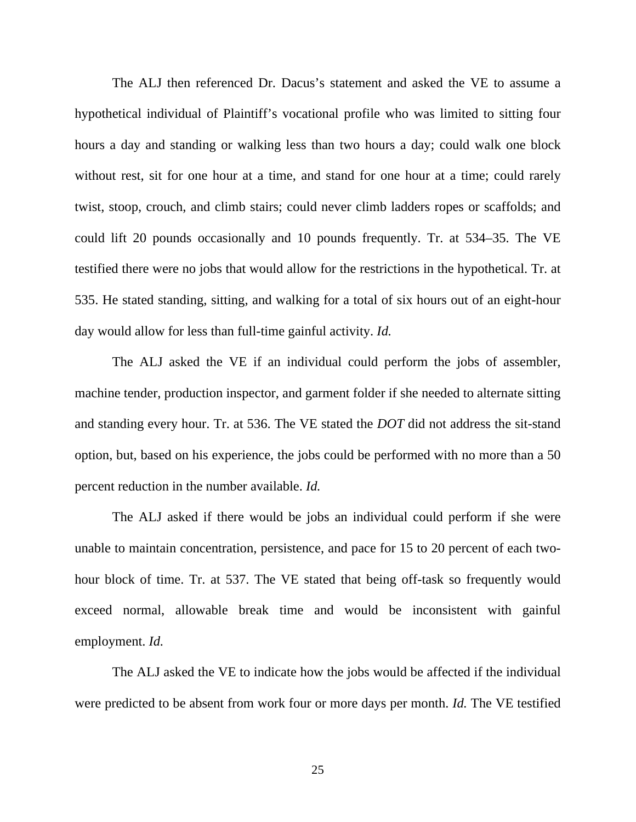The ALJ then referenced Dr. Dacus's statement and asked the VE to assume a hypothetical individual of Plaintiff's vocational profile who was limited to sitting four hours a day and standing or walking less than two hours a day; could walk one block without rest, sit for one hour at a time, and stand for one hour at a time; could rarely twist, stoop, crouch, and climb stairs; could never climb ladders ropes or scaffolds; and could lift 20 pounds occasionally and 10 pounds frequently. Tr. at 534–35. The VE testified there were no jobs that would allow for the restrictions in the hypothetical. Tr. at 535. He stated standing, sitting, and walking for a total of six hours out of an eight-hour day would allow for less than full-time gainful activity. *Id.*

 The ALJ asked the VE if an individual could perform the jobs of assembler, machine tender, production inspector, and garment folder if she needed to alternate sitting and standing every hour. Tr. at 536. The VE stated the *DOT* did not address the sit-stand option, but, based on his experience, the jobs could be performed with no more than a 50 percent reduction in the number available. *Id.*

 The ALJ asked if there would be jobs an individual could perform if she were unable to maintain concentration, persistence, and pace for 15 to 20 percent of each twohour block of time. Tr. at 537. The VE stated that being off-task so frequently would exceed normal, allowable break time and would be inconsistent with gainful employment. *Id.*

 The ALJ asked the VE to indicate how the jobs would be affected if the individual were predicted to be absent from work four or more days per month. *Id.* The VE testified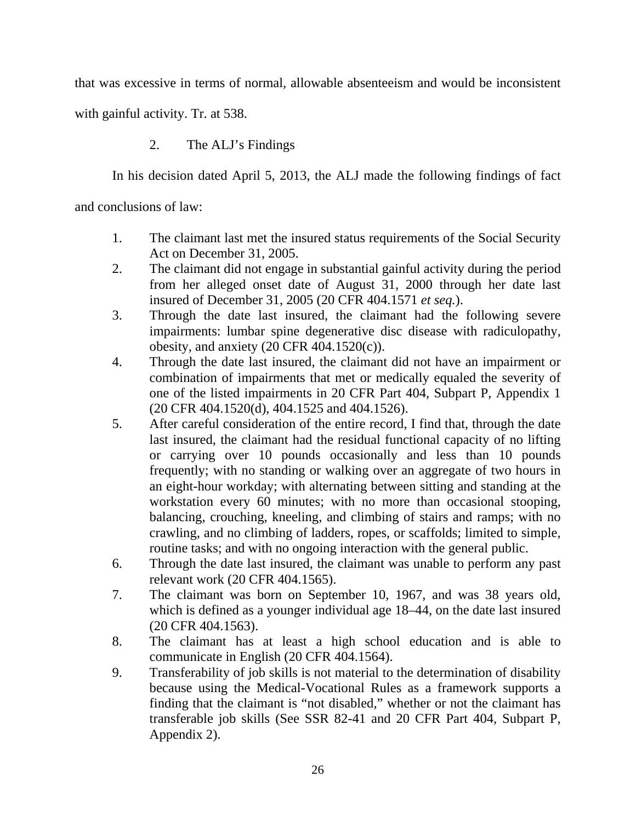that was excessive in terms of normal, allowable absenteeism and would be inconsistent

with gainful activity. Tr. at 538.

# 2. The ALJ's Findings

In his decision dated April 5, 2013, the ALJ made the following findings of fact

and conclusions of law:

- 1. The claimant last met the insured status requirements of the Social Security Act on December 31, 2005.
- 2. The claimant did not engage in substantial gainful activity during the period from her alleged onset date of August 31, 2000 through her date last insured of December 31, 2005 (20 CFR 404.1571 *et seq.*).
- 3. Through the date last insured, the claimant had the following severe impairments: lumbar spine degenerative disc disease with radiculopathy, obesity, and anxiety (20 CFR 404.1520(c)).
- 4. Through the date last insured, the claimant did not have an impairment or combination of impairments that met or medically equaled the severity of one of the listed impairments in 20 CFR Part 404, Subpart P, Appendix 1 (20 CFR 404.1520(d), 404.1525 and 404.1526).
- 5. After careful consideration of the entire record, I find that, through the date last insured, the claimant had the residual functional capacity of no lifting or carrying over 10 pounds occasionally and less than 10 pounds frequently; with no standing or walking over an aggregate of two hours in an eight-hour workday; with alternating between sitting and standing at the workstation every 60 minutes; with no more than occasional stooping, balancing, crouching, kneeling, and climbing of stairs and ramps; with no crawling, and no climbing of ladders, ropes, or scaffolds; limited to simple, routine tasks; and with no ongoing interaction with the general public.
- 6. Through the date last insured, the claimant was unable to perform any past relevant work (20 CFR 404.1565).
- 7. The claimant was born on September 10, 1967, and was 38 years old, which is defined as a younger individual age 18–44, on the date last insured (20 CFR 404.1563).
- 8. The claimant has at least a high school education and is able to communicate in English (20 CFR 404.1564).
- 9. Transferability of job skills is not material to the determination of disability because using the Medical-Vocational Rules as a framework supports a finding that the claimant is "not disabled," whether or not the claimant has transferable job skills (See SSR 82-41 and 20 CFR Part 404, Subpart P, Appendix 2).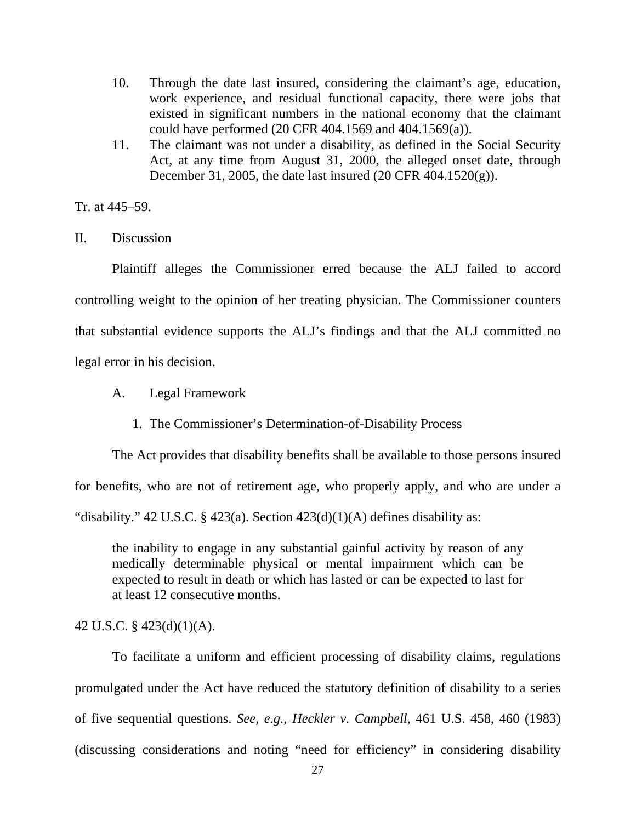- 10. Through the date last insured, considering the claimant's age, education, work experience, and residual functional capacity, there were jobs that existed in significant numbers in the national economy that the claimant could have performed (20 CFR 404.1569 and 404.1569(a)).
- 11. The claimant was not under a disability, as defined in the Social Security Act, at any time from August 31, 2000, the alleged onset date, through December 31, 2005, the date last insured (20 CFR 404.1520(g)).

Tr. at 445–59.

II. Discussion

 Plaintiff alleges the Commissioner erred because the ALJ failed to accord controlling weight to the opinion of her treating physician. The Commissioner counters that substantial evidence supports the ALJ's findings and that the ALJ committed no legal error in his decision.

- A. Legal Framework
	- 1. The Commissioner's Determination-of-Disability Process

 The Act provides that disability benefits shall be available to those persons insured for benefits, who are not of retirement age, who properly apply, and who are under a "disability." 42 U.S.C. § 423(a). Section  $423(d)(1)(A)$  defines disability as:

the inability to engage in any substantial gainful activity by reason of any medically determinable physical or mental impairment which can be expected to result in death or which has lasted or can be expected to last for at least 12 consecutive months.

42 U.S.C. § 423(d)(1)(A).

 To facilitate a uniform and efficient processing of disability claims, regulations promulgated under the Act have reduced the statutory definition of disability to a series of five sequential questions. *See, e.g., Heckler v. Campbell*, 461 U.S. 458, 460 (1983) (discussing considerations and noting "need for efficiency" in considering disability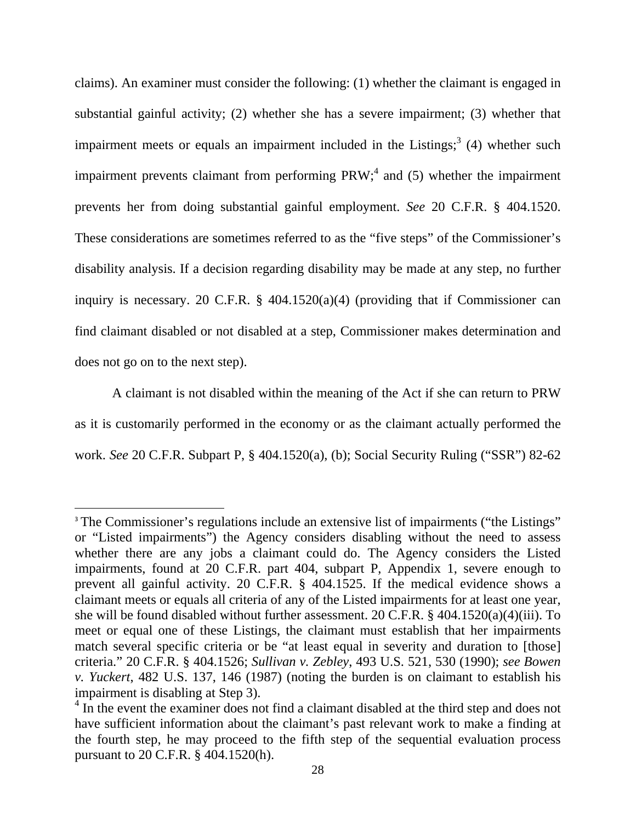claims). An examiner must consider the following: (1) whether the claimant is engaged in substantial gainful activity; (2) whether she has a severe impairment; (3) whether that impairment meets or equals an impairment included in the Listings;<sup>3</sup> (4) whether such impairment prevents claimant from performing  $PRW$ ; and (5) whether the impairment prevents her from doing substantial gainful employment. *See* 20 C.F.R. § 404.1520. These considerations are sometimes referred to as the "five steps" of the Commissioner's disability analysis. If a decision regarding disability may be made at any step, no further inquiry is necessary. 20 C.F.R. § 404.1520(a)(4) (providing that if Commissioner can find claimant disabled or not disabled at a step, Commissioner makes determination and does not go on to the next step).

 A claimant is not disabled within the meaning of the Act if she can return to PRW as it is customarily performed in the economy or as the claimant actually performed the work. *See* 20 C.F.R. Subpart P, § 404.1520(a), (b); Social Security Ruling ("SSR") 82-62

<sup>&</sup>lt;sup>3</sup> The Commissioner's regulations include an extensive list of impairments ("the Listings" or "Listed impairments") the Agency considers disabling without the need to assess whether there are any jobs a claimant could do. The Agency considers the Listed impairments, found at 20 C.F.R. part 404, subpart P, Appendix 1, severe enough to prevent all gainful activity. 20 C.F.R. § 404.1525. If the medical evidence shows a claimant meets or equals all criteria of any of the Listed impairments for at least one year, she will be found disabled without further assessment. 20 C.F.R. § 404.1520(a)(4)(iii). To meet or equal one of these Listings, the claimant must establish that her impairments match several specific criteria or be "at least equal in severity and duration to [those] criteria." 20 C.F.R. § 404.1526; *Sullivan v. Zebley*, 493 U.S. 521, 530 (1990); *see Bowen v. Yuckert*, 482 U.S. 137, 146 (1987) (noting the burden is on claimant to establish his impairment is disabling at Step 3).

<sup>&</sup>lt;sup>4</sup> In the event the examiner does not find a claimant disabled at the third step and does not have sufficient information about the claimant's past relevant work to make a finding at the fourth step, he may proceed to the fifth step of the sequential evaluation process pursuant to 20 C.F.R. § 404.1520(h).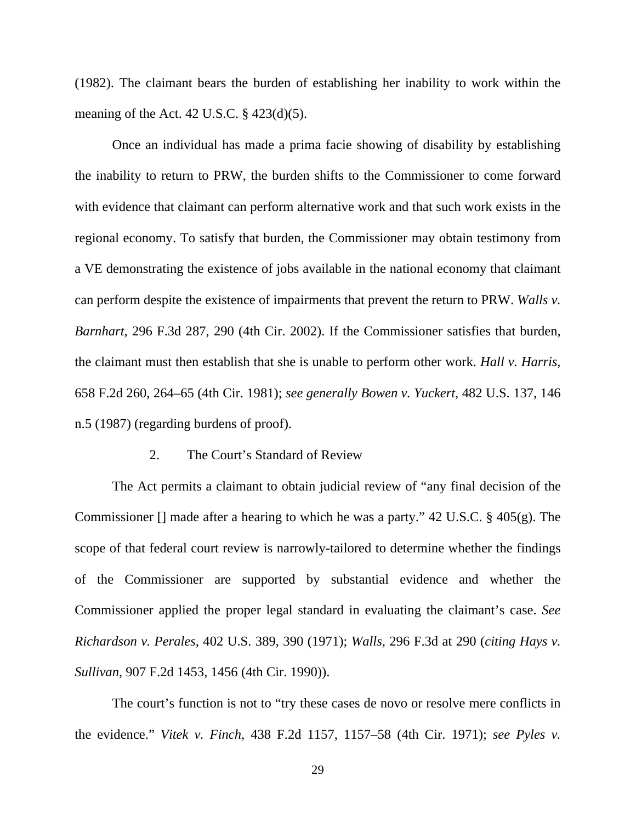(1982). The claimant bears the burden of establishing her inability to work within the meaning of the Act. 42 U.S.C.  $\S$  423(d)(5).

 Once an individual has made a prima facie showing of disability by establishing the inability to return to PRW, the burden shifts to the Commissioner to come forward with evidence that claimant can perform alternative work and that such work exists in the regional economy. To satisfy that burden, the Commissioner may obtain testimony from a VE demonstrating the existence of jobs available in the national economy that claimant can perform despite the existence of impairments that prevent the return to PRW. *Walls v. Barnhart*, 296 F.3d 287, 290 (4th Cir. 2002). If the Commissioner satisfies that burden, the claimant must then establish that she is unable to perform other work. *Hall v. Harris*, 658 F.2d 260, 264–65 (4th Cir. 1981); *see generally Bowen v. Yuckert*, 482 U.S. 137, 146 n.5 (1987) (regarding burdens of proof).

## 2. The Court's Standard of Review

 The Act permits a claimant to obtain judicial review of "any final decision of the Commissioner [] made after a hearing to which he was a party." 42 U.S.C. § 405(g). The scope of that federal court review is narrowly-tailored to determine whether the findings of the Commissioner are supported by substantial evidence and whether the Commissioner applied the proper legal standard in evaluating the claimant's case. *See Richardson v. Perales*, 402 U.S. 389, 390 (1971); *Walls*, 296 F.3d at 290 (*citing Hays v. Sullivan*, 907 F.2d 1453, 1456 (4th Cir. 1990)).

 The court's function is not to "try these cases de novo or resolve mere conflicts in the evidence." *Vitek v. Finch*, 438 F.2d 1157, 1157–58 (4th Cir. 1971); *see Pyles v.* 

29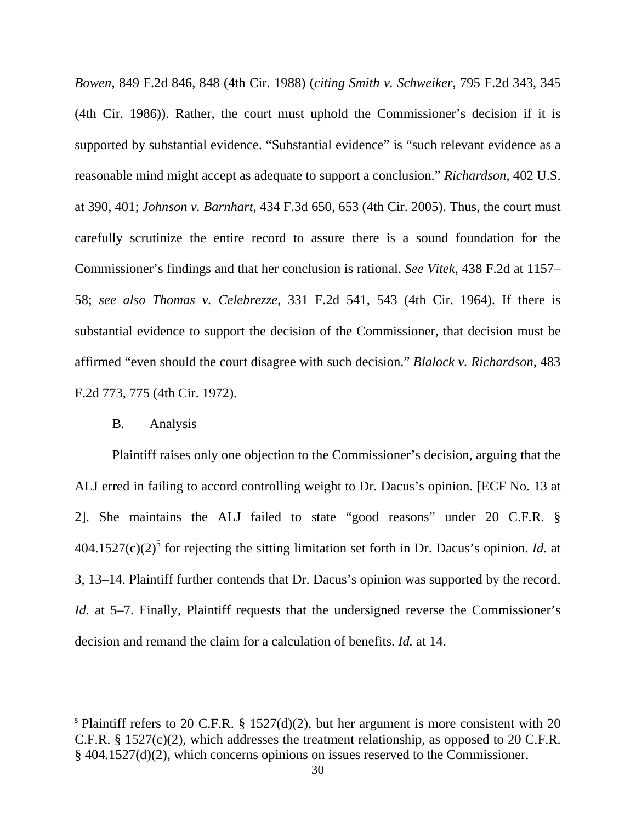*Bowen*, 849 F.2d 846, 848 (4th Cir. 1988) (*citing Smith v. Schweiker*, 795 F.2d 343, 345 (4th Cir. 1986)). Rather, the court must uphold the Commissioner's decision if it is supported by substantial evidence. "Substantial evidence" is "such relevant evidence as a reasonable mind might accept as adequate to support a conclusion." *Richardson*, 402 U.S. at 390, 401; *Johnson v. Barnhart*, 434 F.3d 650, 653 (4th Cir. 2005). Thus, the court must carefully scrutinize the entire record to assure there is a sound foundation for the Commissioner's findings and that her conclusion is rational. *See Vitek*, 438 F.2d at 1157– 58; *see also Thomas v. Celebrezze*, 331 F.2d 541, 543 (4th Cir. 1964). If there is substantial evidence to support the decision of the Commissioner, that decision must be affirmed "even should the court disagree with such decision." *Blalock v. Richardson*, 483 F.2d 773, 775 (4th Cir. 1972).

# B. Analysis

 Plaintiff raises only one objection to the Commissioner's decision, arguing that the ALJ erred in failing to accord controlling weight to Dr. Dacus's opinion. [ECF No. 13 at 2]. She maintains the ALJ failed to state "good reasons" under 20 C.F.R. §  $404.1527(c)(2)^5$  for rejecting the sitting limitation set forth in Dr. Dacus's opinion. *Id.* at 3, 13–14. Plaintiff further contends that Dr. Dacus's opinion was supported by the record. *Id.* at 5–7. Finally, Plaintiff requests that the undersigned reverse the Commissioner's decision and remand the claim for a calculation of benefits. *Id.* at 14.

<sup>&</sup>lt;sup>5</sup> Plaintiff refers to 20 C.F.R. § 1527(d)(2), but her argument is more consistent with 20 C.F.R. § 1527(c)(2), which addresses the treatment relationship, as opposed to 20 C.F.R. § 404.1527(d)(2), which concerns opinions on issues reserved to the Commissioner.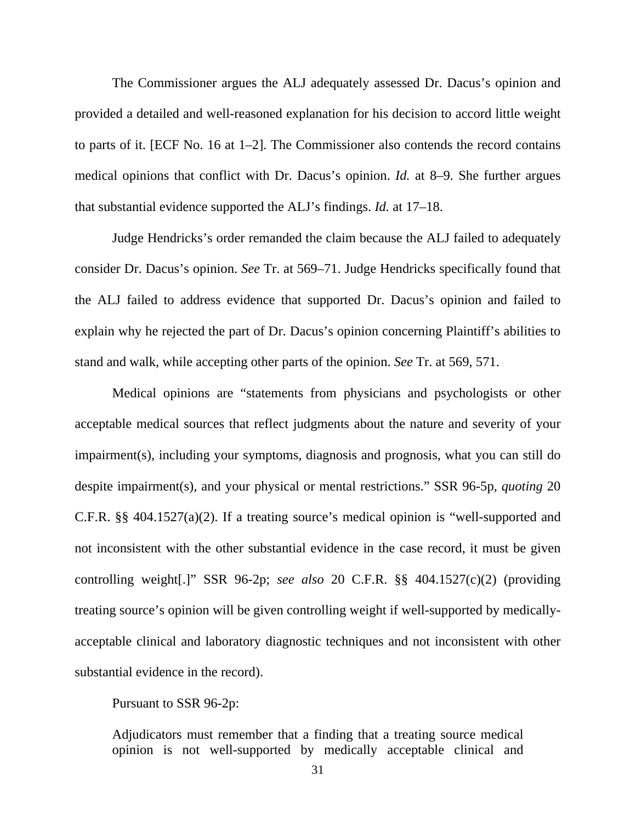The Commissioner argues the ALJ adequately assessed Dr. Dacus's opinion and provided a detailed and well-reasoned explanation for his decision to accord little weight to parts of it. [ECF No. 16 at 1–2]. The Commissioner also contends the record contains medical opinions that conflict with Dr. Dacus's opinion. *Id.* at 8–9. She further argues that substantial evidence supported the ALJ's findings. *Id.* at 17–18.

 Judge Hendricks's order remanded the claim because the ALJ failed to adequately consider Dr. Dacus's opinion. *See* Tr. at 569–71. Judge Hendricks specifically found that the ALJ failed to address evidence that supported Dr. Dacus's opinion and failed to explain why he rejected the part of Dr. Dacus's opinion concerning Plaintiff's abilities to stand and walk, while accepting other parts of the opinion. *See* Tr. at 569, 571.

 Medical opinions are "statements from physicians and psychologists or other acceptable medical sources that reflect judgments about the nature and severity of your impairment(s), including your symptoms, diagnosis and prognosis, what you can still do despite impairment(s), and your physical or mental restrictions." SSR 96-5p, *quoting* 20 C.F.R. §§ 404.1527(a)(2). If a treating source's medical opinion is "well-supported and not inconsistent with the other substantial evidence in the case record, it must be given controlling weight[.]" SSR 96-2p; *see also* 20 C.F.R. §§ 404.1527(c)(2) (providing treating source's opinion will be given controlling weight if well-supported by medicallyacceptable clinical and laboratory diagnostic techniques and not inconsistent with other substantial evidence in the record).

Pursuant to SSR 96-2p:

Adjudicators must remember that a finding that a treating source medical opinion is not well-supported by medically acceptable clinical and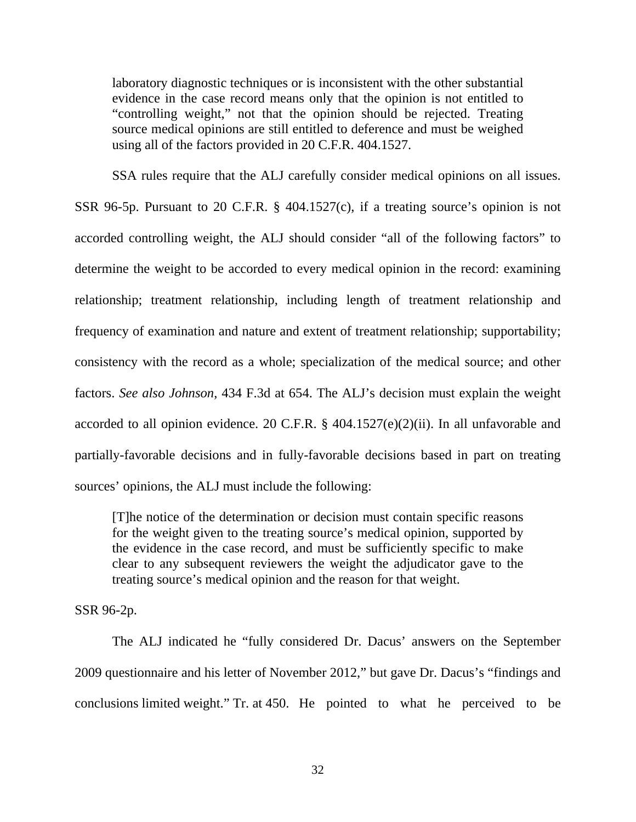laboratory diagnostic techniques or is inconsistent with the other substantial evidence in the case record means only that the opinion is not entitled to "controlling weight," not that the opinion should be rejected. Treating source medical opinions are still entitled to deference and must be weighed using all of the factors provided in 20 C.F.R. 404.1527.

 SSA rules require that the ALJ carefully consider medical opinions on all issues. SSR 96-5p. Pursuant to 20 C.F.R. § 404.1527(c), if a treating source's opinion is not accorded controlling weight, the ALJ should consider "all of the following factors" to determine the weight to be accorded to every medical opinion in the record: examining relationship; treatment relationship, including length of treatment relationship and frequency of examination and nature and extent of treatment relationship; supportability; consistency with the record as a whole; specialization of the medical source; and other factors. *See also Johnson*, 434 F.3d at 654. The ALJ's decision must explain the weight accorded to all opinion evidence. 20 C.F.R. § 404.1527(e)(2)(ii). In all unfavorable and partially-favorable decisions and in fully-favorable decisions based in part on treating sources' opinions, the ALJ must include the following:

[T]he notice of the determination or decision must contain specific reasons for the weight given to the treating source's medical opinion, supported by the evidence in the case record, and must be sufficiently specific to make clear to any subsequent reviewers the weight the adjudicator gave to the treating source's medical opinion and the reason for that weight.

SSR 96-2p.

 The ALJ indicated he "fully considered Dr. Dacus' answers on the September 2009 questionnaire and his letter of November 2012," but gave Dr. Dacus's "findings and conclusions limited weight." Tr. at 450. He pointed to what he perceived to be

32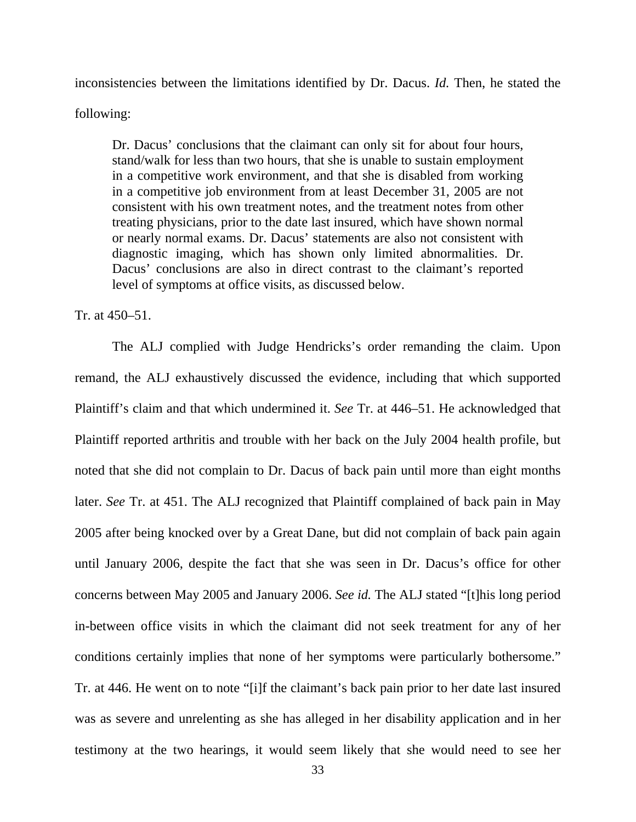inconsistencies between the limitations identified by Dr. Dacus. *Id.* Then, he stated the

following:

Dr. Dacus' conclusions that the claimant can only sit for about four hours, stand/walk for less than two hours, that she is unable to sustain employment in a competitive work environment, and that she is disabled from working in a competitive job environment from at least December 31, 2005 are not consistent with his own treatment notes, and the treatment notes from other treating physicians, prior to the date last insured, which have shown normal or nearly normal exams. Dr. Dacus' statements are also not consistent with diagnostic imaging, which has shown only limited abnormalities. Dr. Dacus' conclusions are also in direct contrast to the claimant's reported level of symptoms at office visits, as discussed below.

Tr. at 450–51.

 The ALJ complied with Judge Hendricks's order remanding the claim. Upon remand, the ALJ exhaustively discussed the evidence, including that which supported Plaintiff's claim and that which undermined it. *See* Tr. at 446–51. He acknowledged that Plaintiff reported arthritis and trouble with her back on the July 2004 health profile, but noted that she did not complain to Dr. Dacus of back pain until more than eight months later. *See* Tr. at 451. The ALJ recognized that Plaintiff complained of back pain in May 2005 after being knocked over by a Great Dane, but did not complain of back pain again until January 2006, despite the fact that she was seen in Dr. Dacus's office for other concerns between May 2005 and January 2006. *See id.* The ALJ stated "[t]his long period in-between office visits in which the claimant did not seek treatment for any of her conditions certainly implies that none of her symptoms were particularly bothersome." Tr. at 446. He went on to note "[i]f the claimant's back pain prior to her date last insured was as severe and unrelenting as she has alleged in her disability application and in her testimony at the two hearings, it would seem likely that she would need to see her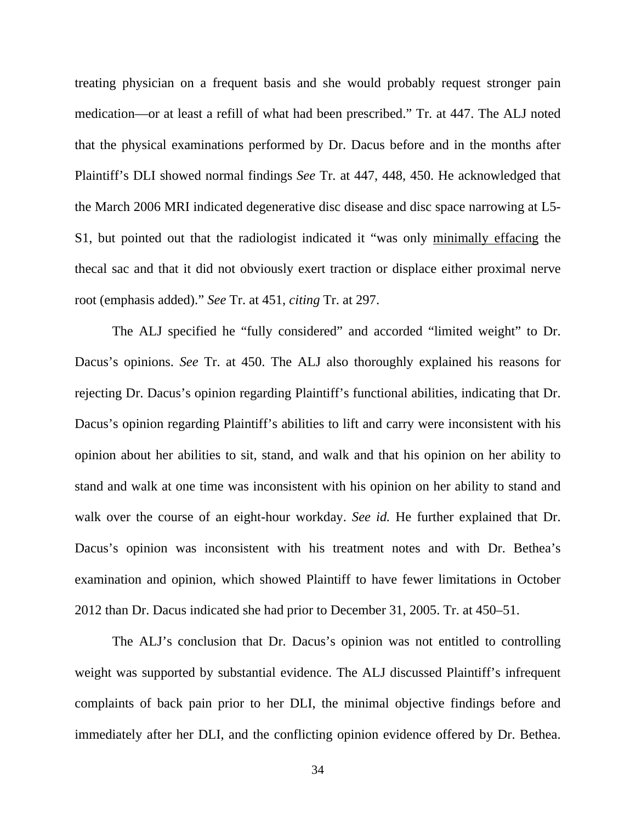treating physician on a frequent basis and she would probably request stronger pain medication—or at least a refill of what had been prescribed." Tr. at 447. The ALJ noted that the physical examinations performed by Dr. Dacus before and in the months after Plaintiff's DLI showed normal findings *See* Tr. at 447, 448, 450. He acknowledged that the March 2006 MRI indicated degenerative disc disease and disc space narrowing at L5- S1, but pointed out that the radiologist indicated it "was only minimally effacing the thecal sac and that it did not obviously exert traction or displace either proximal nerve root (emphasis added)." *See* Tr. at 451, *citing* Tr. at 297.

 The ALJ specified he "fully considered" and accorded "limited weight" to Dr. Dacus's opinions. *See* Tr. at 450. The ALJ also thoroughly explained his reasons for rejecting Dr. Dacus's opinion regarding Plaintiff's functional abilities, indicating that Dr. Dacus's opinion regarding Plaintiff's abilities to lift and carry were inconsistent with his opinion about her abilities to sit, stand, and walk and that his opinion on her ability to stand and walk at one time was inconsistent with his opinion on her ability to stand and walk over the course of an eight-hour workday. *See id.* He further explained that Dr. Dacus's opinion was inconsistent with his treatment notes and with Dr. Bethea's examination and opinion, which showed Plaintiff to have fewer limitations in October 2012 than Dr. Dacus indicated she had prior to December 31, 2005. Tr. at 450–51.

 The ALJ's conclusion that Dr. Dacus's opinion was not entitled to controlling weight was supported by substantial evidence. The ALJ discussed Plaintiff's infrequent complaints of back pain prior to her DLI, the minimal objective findings before and immediately after her DLI, and the conflicting opinion evidence offered by Dr. Bethea.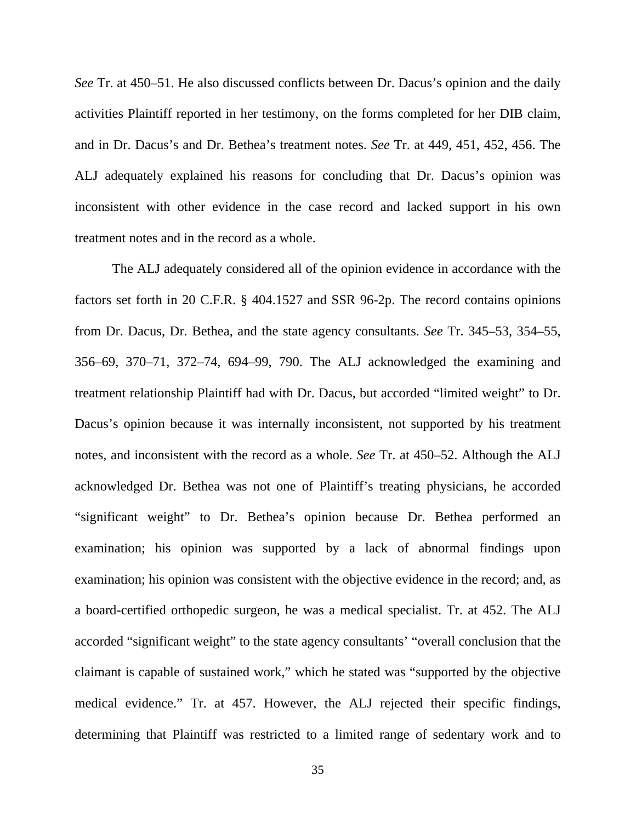*See* Tr. at 450–51. He also discussed conflicts between Dr. Dacus's opinion and the daily activities Plaintiff reported in her testimony, on the forms completed for her DIB claim, and in Dr. Dacus's and Dr. Bethea's treatment notes. *See* Tr. at 449, 451, 452, 456. The ALJ adequately explained his reasons for concluding that Dr. Dacus's opinion was inconsistent with other evidence in the case record and lacked support in his own treatment notes and in the record as a whole.

 The ALJ adequately considered all of the opinion evidence in accordance with the factors set forth in 20 C.F.R. § 404.1527 and SSR 96-2p. The record contains opinions from Dr. Dacus, Dr. Bethea, and the state agency consultants. *See* Tr. 345–53, 354–55, 356–69, 370–71, 372–74, 694–99, 790. The ALJ acknowledged the examining and treatment relationship Plaintiff had with Dr. Dacus, but accorded "limited weight" to Dr. Dacus's opinion because it was internally inconsistent, not supported by his treatment notes, and inconsistent with the record as a whole. *See* Tr. at 450–52. Although the ALJ acknowledged Dr. Bethea was not one of Plaintiff's treating physicians, he accorded "significant weight" to Dr. Bethea's opinion because Dr. Bethea performed an examination; his opinion was supported by a lack of abnormal findings upon examination; his opinion was consistent with the objective evidence in the record; and, as a board-certified orthopedic surgeon, he was a medical specialist. Tr. at 452. The ALJ accorded "significant weight" to the state agency consultants' "overall conclusion that the claimant is capable of sustained work," which he stated was "supported by the objective medical evidence." Tr. at 457. However, the ALJ rejected their specific findings, determining that Plaintiff was restricted to a limited range of sedentary work and to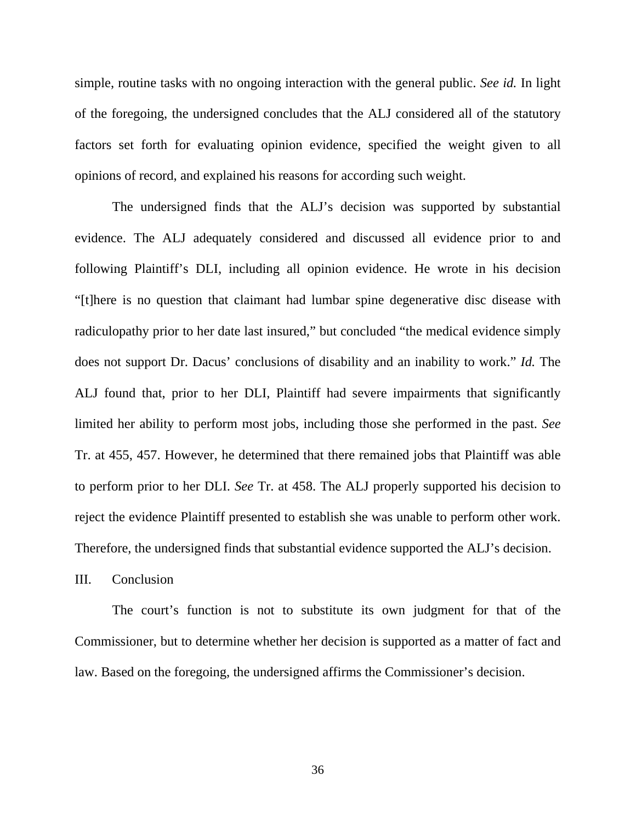simple, routine tasks with no ongoing interaction with the general public. *See id.* In light of the foregoing, the undersigned concludes that the ALJ considered all of the statutory factors set forth for evaluating opinion evidence, specified the weight given to all opinions of record, and explained his reasons for according such weight.

 The undersigned finds that the ALJ's decision was supported by substantial evidence. The ALJ adequately considered and discussed all evidence prior to and following Plaintiff's DLI, including all opinion evidence. He wrote in his decision "[t]here is no question that claimant had lumbar spine degenerative disc disease with radiculopathy prior to her date last insured," but concluded "the medical evidence simply does not support Dr. Dacus' conclusions of disability and an inability to work." *Id.* The ALJ found that, prior to her DLI, Plaintiff had severe impairments that significantly limited her ability to perform most jobs, including those she performed in the past. *See* Tr. at 455, 457. However, he determined that there remained jobs that Plaintiff was able to perform prior to her DLI. *See* Tr. at 458. The ALJ properly supported his decision to reject the evidence Plaintiff presented to establish she was unable to perform other work. Therefore, the undersigned finds that substantial evidence supported the ALJ's decision.

III. Conclusion

 The court's function is not to substitute its own judgment for that of the Commissioner, but to determine whether her decision is supported as a matter of fact and law. Based on the foregoing, the undersigned affirms the Commissioner's decision.